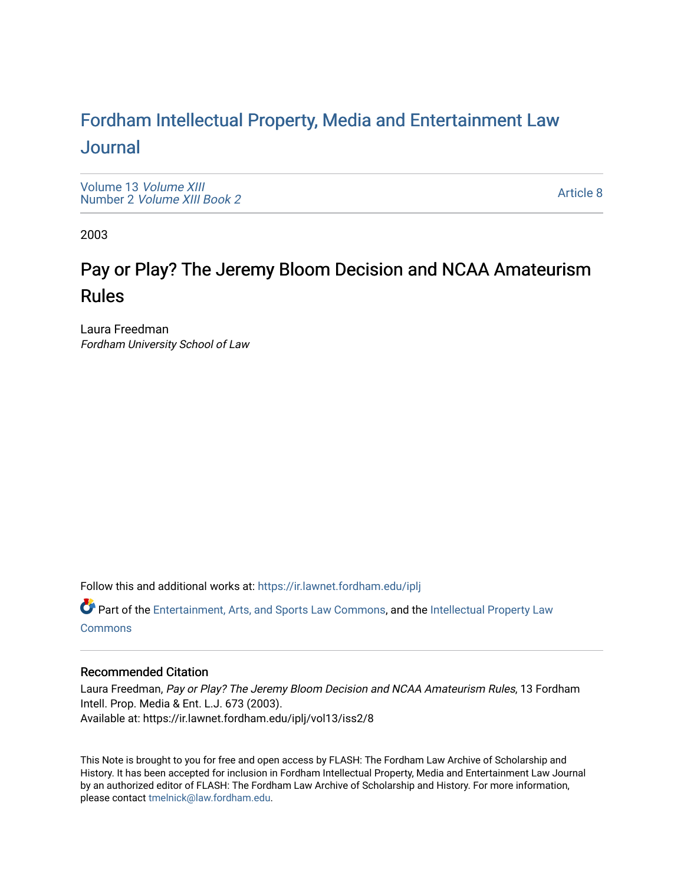# For[dham Intellectual Property, Media and Enter](https://ir.lawnet.fordham.edu/iplj)tainment Law [Journal](https://ir.lawnet.fordham.edu/iplj)

[Volume 13](https://ir.lawnet.fordham.edu/iplj/vol13) Volume XIII Number 2 [Volume XIII Book 2](https://ir.lawnet.fordham.edu/iplj/vol13/iss2)

[Article 8](https://ir.lawnet.fordham.edu/iplj/vol13/iss2/8) 

2003

# Pay or Play? The Jeremy Bloom Decision and NCAA Amateurism Rules

Laura Freedman Fordham University School of Law

Follow this and additional works at: [https://ir.lawnet.fordham.edu/iplj](https://ir.lawnet.fordham.edu/iplj?utm_source=ir.lawnet.fordham.edu%2Fiplj%2Fvol13%2Fiss2%2F8&utm_medium=PDF&utm_campaign=PDFCoverPages) 

Part of the [Entertainment, Arts, and Sports Law Commons](http://network.bepress.com/hgg/discipline/893?utm_source=ir.lawnet.fordham.edu%2Fiplj%2Fvol13%2Fiss2%2F8&utm_medium=PDF&utm_campaign=PDFCoverPages), and the [Intellectual Property Law](http://network.bepress.com/hgg/discipline/896?utm_source=ir.lawnet.fordham.edu%2Fiplj%2Fvol13%2Fiss2%2F8&utm_medium=PDF&utm_campaign=PDFCoverPages) **[Commons](http://network.bepress.com/hgg/discipline/896?utm_source=ir.lawnet.fordham.edu%2Fiplj%2Fvol13%2Fiss2%2F8&utm_medium=PDF&utm_campaign=PDFCoverPages)** 

# Recommended Citation

Laura Freedman, Pay or Play? The Jeremy Bloom Decision and NCAA Amateurism Rules, 13 Fordham Intell. Prop. Media & Ent. L.J. 673 (2003). Available at: https://ir.lawnet.fordham.edu/iplj/vol13/iss2/8

This Note is brought to you for free and open access by FLASH: The Fordham Law Archive of Scholarship and History. It has been accepted for inclusion in Fordham Intellectual Property, Media and Entertainment Law Journal by an authorized editor of FLASH: The Fordham Law Archive of Scholarship and History. For more information, please contact [tmelnick@law.fordham.edu](mailto:tmelnick@law.fordham.edu).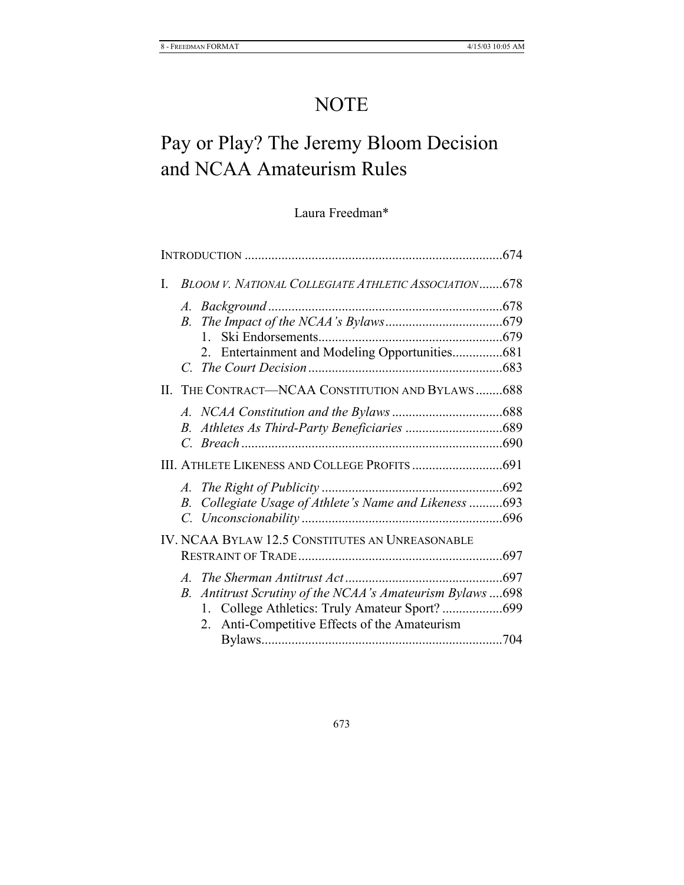# NOTE

# Pay or Play? The Jeremy Bloom Decision and NCAA Amateurism Rules

# Laura Freedman\*

| $\mathbf{I}$ |               | <b>BLOOM V. NATIONAL COLLEGIATE ATHLETIC ASSOCIATION678</b> |  |
|--------------|---------------|-------------------------------------------------------------|--|
|              | A.            | <i>Background</i>                                           |  |
|              | <i>B</i> .    |                                                             |  |
|              |               | $\mathbf{1}$                                                |  |
|              |               | Entertainment and Modeling Opportunities681<br>2            |  |
|              |               |                                                             |  |
|              |               | II. THE CONTRACT-NCAA CONSTITUTION AND BYLAWS 688           |  |
|              |               |                                                             |  |
|              | В.            |                                                             |  |
|              | $\mathcal{C}$ |                                                             |  |
|              |               |                                                             |  |
|              | A.            |                                                             |  |
|              | В.            | Collegiate Usage of Athlete's Name and Likeness 693         |  |
|              |               |                                                             |  |
|              |               | IV. NCAA BYLAW 12.5 CONSTITUTES AN UNREASONABLE             |  |
|              |               |                                                             |  |
|              |               |                                                             |  |
|              | $B_{\cdot}$   | Antitrust Scrutiny of the NCAA's Amateurism Bylaws 698      |  |
|              |               |                                                             |  |
|              |               | Anti-Competitive Effects of the Amateurism<br>2             |  |
|              |               |                                                             |  |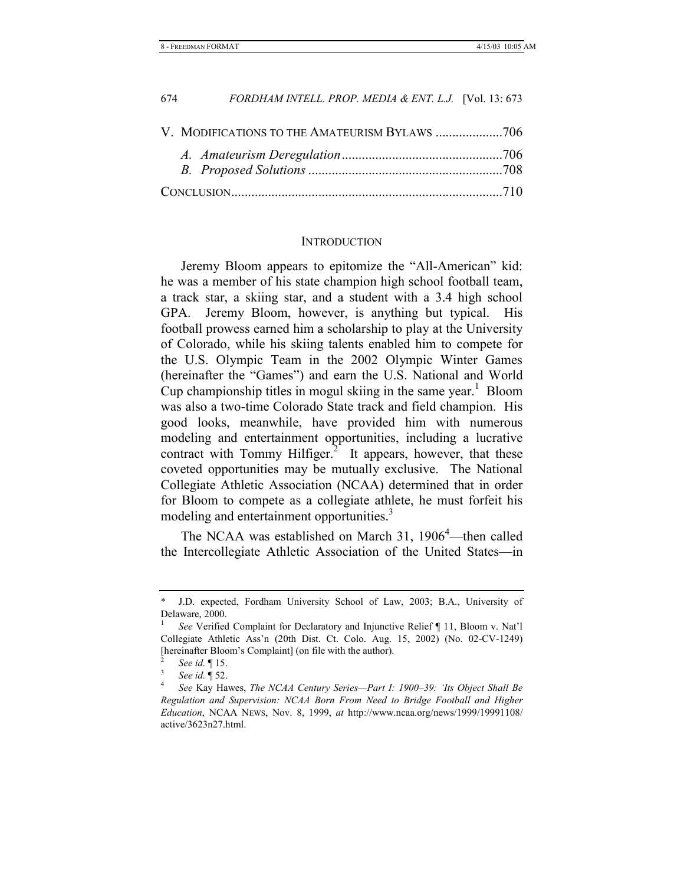| 674 | FORDHAM INTELL. PROP. MEDIA & ENT. L.J. [Vol. 13: 673] |  |
|-----|--------------------------------------------------------|--|
|     |                                                        |  |
|     |                                                        |  |
|     |                                                        |  |
|     |                                                        |  |

#### **INTRODUCTION**

Jeremy Bloom appears to epitomize the "All-American" kid: he was a member of his state champion high school football team, a track star, a skiing star, and a student with a 3.4 high school GPA. Jeremy Bloom, however, is anything but typical. His football prowess earned him a scholarship to play at the University of Colorado, while his skiing talents enabled him to compete for the U.S. Olympic Team in the 2002 Olympic Winter Games (hereinafter the "Games") and earn the U.S. National and World Cup championship titles in mogul skiing in the same year.<sup>1</sup> Bloom was also a two-time Colorado State track and field champion. His good looks, meanwhile, have provided him with numerous modeling and entertainment opportunities, including a lucrative contract with Tommy Hilfiger. $<sup>2</sup>$ </sup> It appears, however, that these coveted opportunities may be mutually exclusive. The National Collegiate Athletic Association (NCAA) determined that in order for Bloom to compete as a collegiate athlete, he must forfeit his modeling and entertainment opportunities.<sup>3</sup>

The NCAA was established on March 31,  $1906<sup>4</sup>$ —then called the Intercollegiate Athletic Association of the United States—in

J.D. expected, Fordham University School of Law, 2003; B.A., University of Delaware, 2000.

<sup>1</sup>  *See* Verified Complaint for Declaratory and Injunctive Relief ¶ 11, Bloom v. Nat'l Collegiate Athletic Ass'n (20th Dist. Ct. Colo. Aug. 15, 2002) (No. 02-CV-1249) [hereinafter Bloom's Complaint] (on file with the author).

<sup>2</sup> *See id.* 15.

*See id.* 152.

*See* Kay Hawes, *The NCAA Century Series—Part I: 1900–39: 'Its Object Shall Be Regulation and Supervision: NCAA Born From Need to Bridge Football and Higher Education*, NCAA NEWS, Nov. 8, 1999, *at* http://www.ncaa.org/news/1999/19991108/ active/3623n27.html.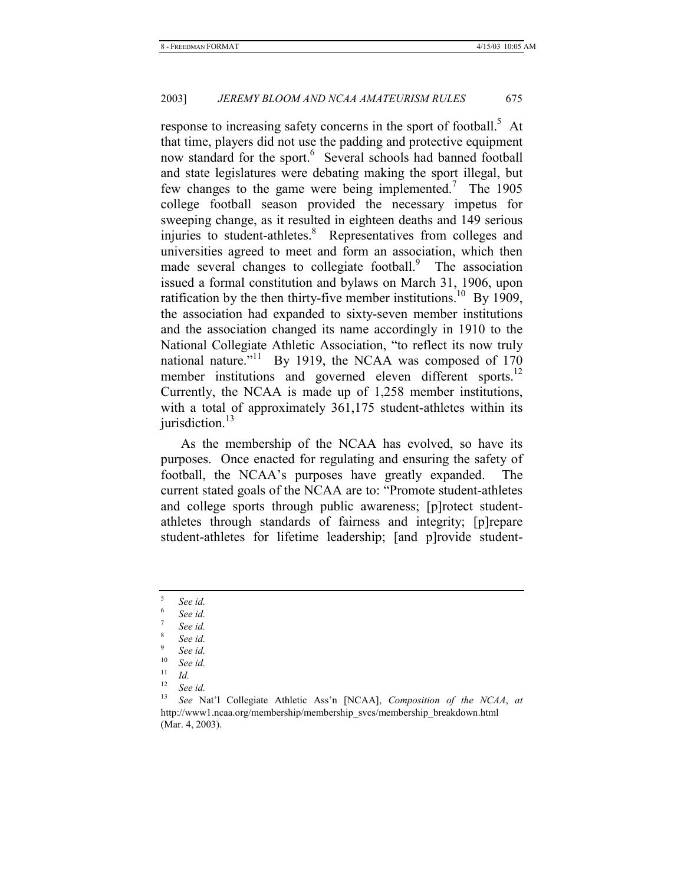response to increasing safety concerns in the sport of football.<sup>5</sup> At that time, players did not use the padding and protective equipment now standard for the sport.<sup>6</sup> Several schools had banned football and state legislatures were debating making the sport illegal, but few changes to the game were being implemented.<sup>7</sup> The 1905 college football season provided the necessary impetus for sweeping change, as it resulted in eighteen deaths and 149 serious injuries to student-athletes.<sup>8</sup> Representatives from colleges and universities agreed to meet and form an association, which then made several changes to collegiate football.<sup>9</sup> The association issued a formal constitution and bylaws on March 31, 1906, upon ratification by the then thirty-five member institutions.<sup>10</sup> By 1909, the association had expanded to sixty-seven member institutions and the association changed its name accordingly in 1910 to the National Collegiate Athletic Association, "to reflect its now truly national nature."<sup>11</sup> By 1919, the NCAA was composed of 170 member institutions and governed eleven different sports.<sup>12</sup> Currently, the NCAA is made up of 1,258 member institutions, with a total of approximately 361,175 student-athletes within its jurisdiction. $13$ 

As the membership of the NCAA has evolved, so have its purposes. Once enacted for regulating and ensuring the safety of football, the NCAA's purposes have greatly expanded. The current stated goals of the NCAA are to: "Promote student-athletes and college sports through public awareness; [p]rotect studentathletes through standards of fairness and integrity; [p]repare student-athletes for lifetime leadership; [and p]rovide student-

<sup>5</sup>  *See id.*

<sup>6</sup>  *See id.*

<sup>7</sup>  *See id.*

<sup>8</sup>  *See id.*

<sup>9</sup> <sup>9</sup> *See id.*<br><sup>10</sup> *See id.* 

 $\int_{11}^{10}$  *See id.* 

 $\frac{11}{12}$  *Id.* 

<sup>12</sup> *See id.*

<sup>13</sup> *See* Nat'l Collegiate Athletic Ass'n [NCAA], *Composition of the NCAA*, *at* http://www1.ncaa.org/membership/membership\_svcs/membership\_breakdown.html (Mar. 4, 2003).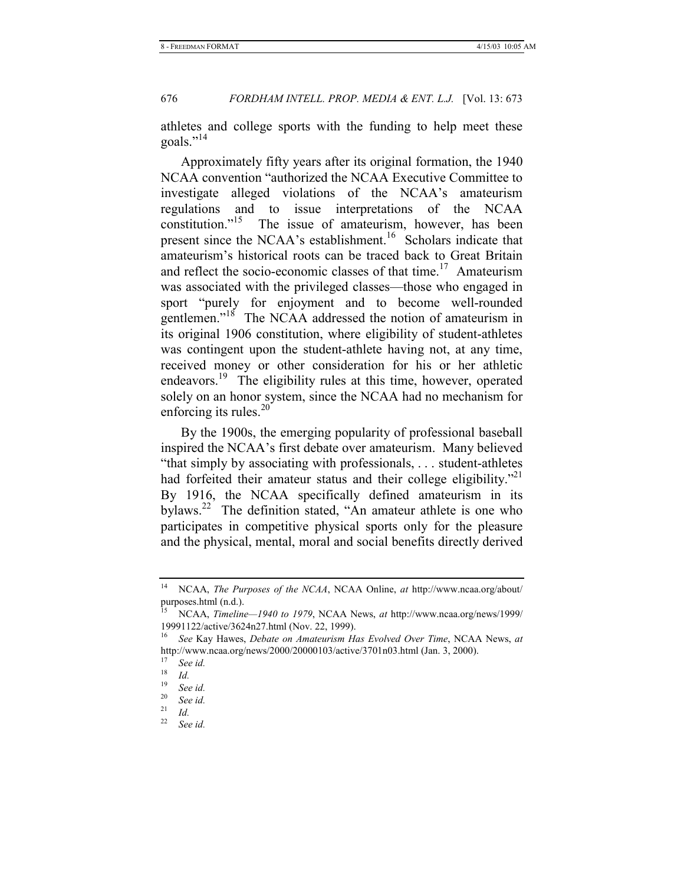athletes and college sports with the funding to help meet these goals."<sup>14</sup>

Approximately fifty years after its original formation, the 1940 NCAA convention "authorized the NCAA Executive Committee to investigate alleged violations of the NCAA's amateurism regulations and to issue interpretations of the NCAA constitution."<sup>15</sup> The issue of amateurism, however, has been present since the NCAA's establishment.<sup>16</sup> Scholars indicate that amateurism's historical roots can be traced back to Great Britain and reflect the socio-economic classes of that time.<sup>17</sup> Amateurism was associated with the privileged classes—those who engaged in sport "purely for enjoyment and to become well-rounded gentlemen."18 The NCAA addressed the notion of amateurism in its original 1906 constitution, where eligibility of student-athletes was contingent upon the student-athlete having not, at any time, received money or other consideration for his or her athletic endeavors.<sup>19</sup> The eligibility rules at this time, however, operated solely on an honor system, since the NCAA had no mechanism for enforcing its rules. $^{20}$ 

By the 1900s, the emerging popularity of professional baseball inspired the NCAA's first debate over amateurism. Many believed "that simply by associating with professionals, . . . student-athletes had forfeited their amateur status and their college eligibility."<sup>21</sup> By 1916, the NCAA specifically defined amateurism in its bylaws.<sup>22</sup> The definition stated, "An amateur athlete is one who participates in competitive physical sports only for the pleasure and the physical, mental, moral and social benefits directly derived

<sup>14</sup> NCAA, *The Purposes of the NCAA*, NCAA Online, *at* http://www.ncaa.org/about/ purposes.html (n.d.).

<sup>15</sup> NCAA, *Timeline—1940 to 1979*, NCAA News, *at* http://www.ncaa.org/news/1999/ 19991122/active/3624n27.html (Nov. 22, 1999).

<sup>16</sup> *See* Kay Hawes, *Debate on Amateurism Has Evolved Over Time*, NCAA News, *at* http://www.ncaa.org/news/2000/20000103/active/3701n03.html (Jan. 3, 2000).

<sup>17</sup> *See id.*

 $\frac{18}{19}$  *Id.* 

<sup>19</sup> *See id.*

<sup>20</sup> *See id.*

 $rac{21}{22}$  *Id.* 

<sup>22</sup> *See id.*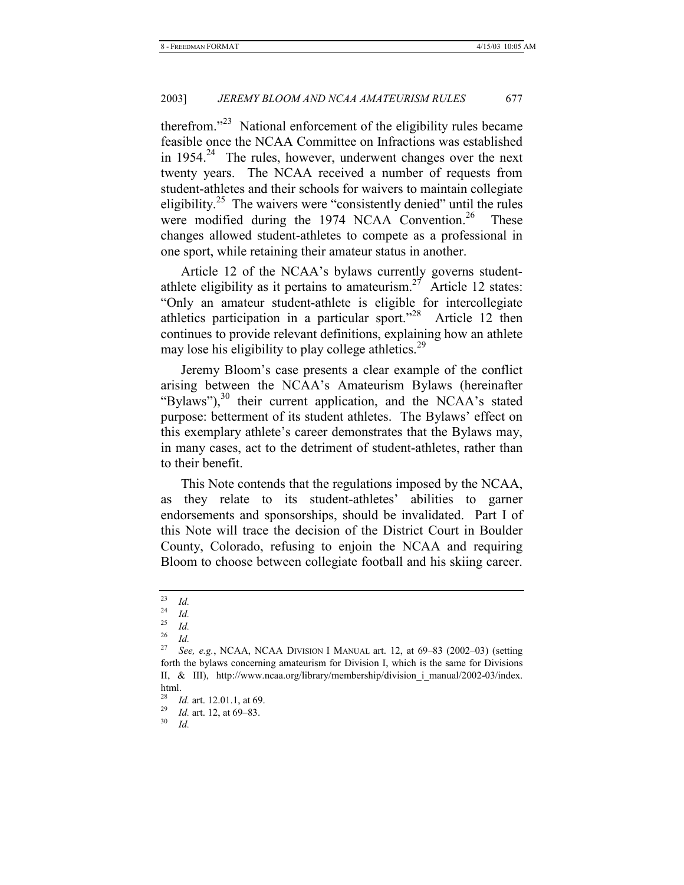therefrom."23 National enforcement of the eligibility rules became feasible once the NCAA Committee on Infractions was established in 1954.<sup>24</sup> The rules, however, underwent changes over the next twenty years. The NCAA received a number of requests from student-athletes and their schools for waivers to maintain collegiate eligibility.<sup>25</sup> The waivers were "consistently denied" until the rules were modified during the 1974 NCAA Convention.<sup>26</sup> These changes allowed student-athletes to compete as a professional in one sport, while retaining their amateur status in another.

Article 12 of the NCAA's bylaws currently governs studentathlete eligibility as it pertains to amateurism.<sup>27</sup> Article 12 states: "Only an amateur student-athlete is eligible for intercollegiate athletics participation in a particular sport."28 Article 12 then continues to provide relevant definitions, explaining how an athlete may lose his eligibility to play college athletics.<sup>29</sup>

Jeremy Bloom's case presents a clear example of the conflict arising between the NCAA's Amateurism Bylaws (hereinafter "Bylaws"), $30$  their current application, and the NCAA's stated purpose: betterment of its student athletes. The Bylaws' effect on this exemplary athlete's career demonstrates that the Bylaws may, in many cases, act to the detriment of student-athletes, rather than to their benefit.

This Note contends that the regulations imposed by the NCAA, as they relate to its student-athletes' abilities to garner endorsements and sponsorships, should be invalidated. Part I of this Note will trace the decision of the District Court in Boulder County, Colorado, refusing to enjoin the NCAA and requiring Bloom to choose between collegiate football and his skiing career.

 $\frac{23}{24}$  *Id.* 

 $\frac{24}{25}$  *Id.* 

 $rac{25}{26}$  *Id.* 

 $rac{26}{27}$  *Id.* 

<sup>27</sup> *See, e.g.*, NCAA, NCAA DIVISION I MANUAL art. 12, at 69–83 (2002–03) (setting forth the bylaws concerning amateurism for Division I, which is the same for Divisions II, & III), http://www.ncaa.org/library/membership/division\_i\_manual/2002-03/index. html.

<sup>28</sup> *Id.* art. 12.01.1, at 69. 29 *Id.* art. 12, at 69–83. 30 *Id.*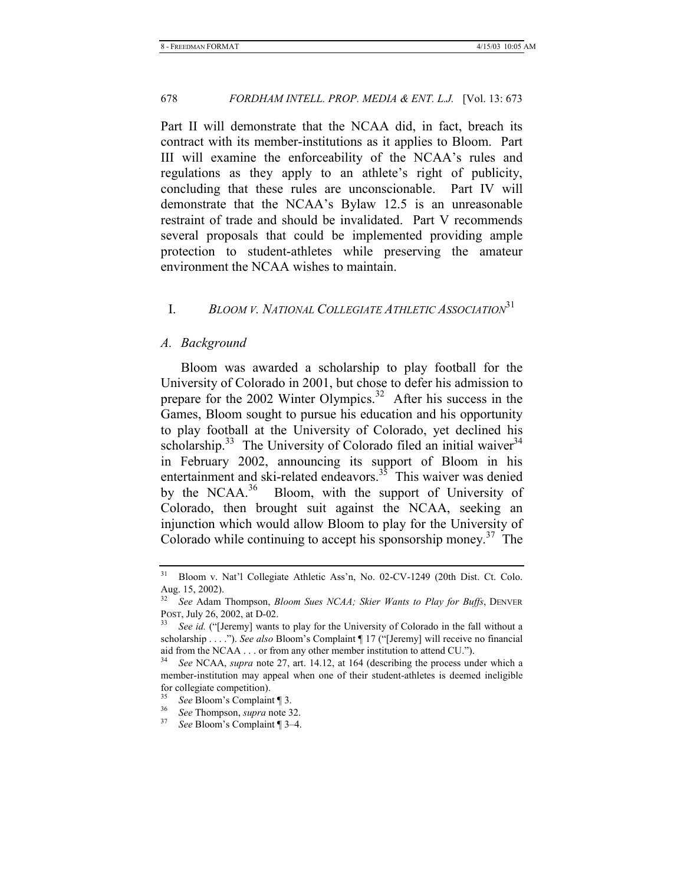Part II will demonstrate that the NCAA did, in fact, breach its contract with its member-institutions as it applies to Bloom. Part III will examine the enforceability of the NCAA's rules and regulations as they apply to an athlete's right of publicity, concluding that these rules are unconscionable. Part IV will demonstrate that the NCAA's Bylaw 12.5 is an unreasonable restraint of trade and should be invalidated. Part V recommends several proposals that could be implemented providing ample protection to student-athletes while preserving the amateur environment the NCAA wishes to maintain.

# I. *BLOOM V. NATIONAL COLLEGIATE ATHLETIC ASSOCIATION*<sup>31</sup>

### *A. Background*

Bloom was awarded a scholarship to play football for the University of Colorado in 2001, but chose to defer his admission to prepare for the 2002 Winter Olympics.<sup>32</sup> After his success in the Games, Bloom sought to pursue his education and his opportunity to play football at the University of Colorado, yet declined his scholarship.<sup>33</sup> The University of Colorado filed an initial waiver<sup>34</sup> in February 2002, announcing its support of Bloom in his entertainment and ski-related endeavors.<sup>35</sup> This waiver was denied by the NCAA.<sup>36</sup> Bloom, with the support of University of Colorado, then brought suit against the NCAA, seeking an injunction which would allow Bloom to play for the University of Colorado while continuing to accept his sponsorship money.<sup>37</sup> The

<sup>31</sup> Bloom v. Nat'l Collegiate Athletic Ass'n, No. 02-CV-1249 (20th Dist. Ct. Colo. Aug. 15, 2002).

<sup>32</sup> *See* Adam Thompson, *Bloom Sues NCAA; Skier Wants to Play for Buffs*, DENVER POST, July 26, 2002, at D-02. 33 *See id.* ("[Jeremy] wants to play for the University of Colorado in the fall without a

scholarship . . . ."). *See also* Bloom's Complaint ¶ 17 ("[Jeremy] will receive no financial aid from the NCAA . . . or from any other member institution to attend CU.").

See NCAA, *supra* note 27, art. 14.12, at 164 (describing the process under which a member-institution may appeal when one of their student-athletes is deemed ineligible for collegiate competition).

<sup>35</sup> *See* Bloom's Complaint ¶ 3. 36 *See* Thompson, *supra* note 32. 37 *See* Bloom's Complaint ¶ 3–4.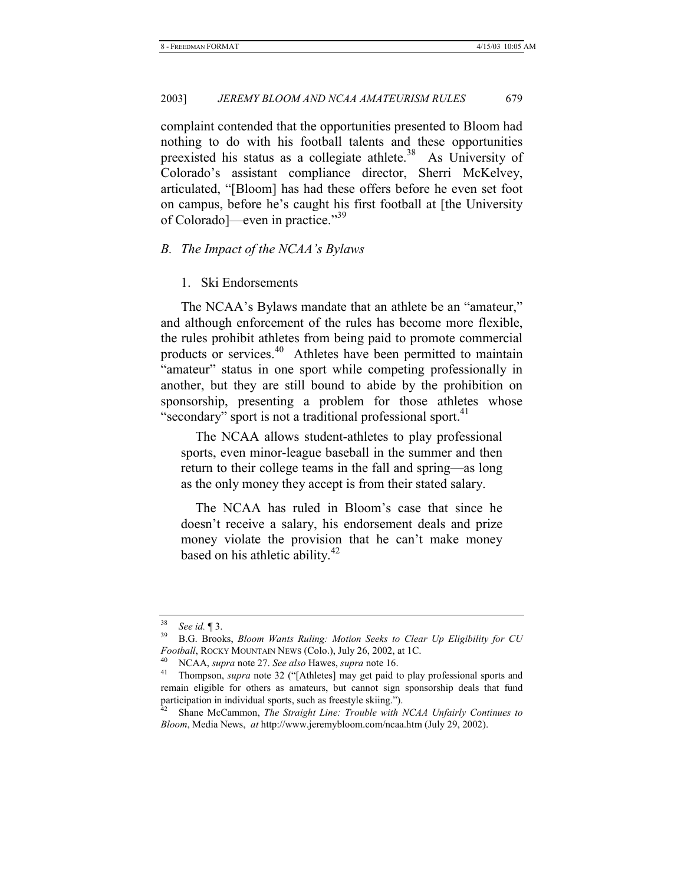complaint contended that the opportunities presented to Bloom had nothing to do with his football talents and these opportunities preexisted his status as a collegiate athlete.<sup>38</sup> As University of Colorado's assistant compliance director, Sherri McKelvey, articulated, "[Bloom] has had these offers before he even set foot on campus, before he's caught his first football at [the University of Colorado]—even in practice."<sup>39</sup>

# *B. The Impact of the NCAA's Bylaws*

# 1. Ski Endorsements

The NCAA's Bylaws mandate that an athlete be an "amateur," and although enforcement of the rules has become more flexible, the rules prohibit athletes from being paid to promote commercial products or services.<sup>40</sup> Athletes have been permitted to maintain "amateur" status in one sport while competing professionally in another, but they are still bound to abide by the prohibition on sponsorship, presenting a problem for those athletes whose "secondary" sport is not a traditional professional sport.<sup>41</sup>

 The NCAA allows student-athletes to play professional sports, even minor-league baseball in the summer and then return to their college teams in the fall and spring—as long as the only money they accept is from their stated salary.

 The NCAA has ruled in Bloom's case that since he doesn't receive a salary, his endorsement deals and prize money violate the provision that he can't make money based on his athletic ability.<sup>42</sup>

<sup>38</sup> *See id.* ¶ 3. 39 B.G. Brooks, *Bloom Wants Ruling: Motion Seeks to Clear Up Eligibility for CU* 

Football, ROCKY MOUNTAIN NEWS (Colo.), July 26, 2002, at 1C.<br><sup>40</sup> NCAA, *supra* note 27. *See also* Hawes, *supra* note 16.<br><sup>41</sup> Thompson, *supra* note 32 ("[Athletes] may get paid to play professional sports and remain eligible for others as amateurs, but cannot sign sponsorship deals that fund participation in individual sports, such as freestyle skiing.").

<sup>&</sup>lt;sup>42</sup> Shane McCammon, *The Straight Line: Trouble with NCAA Unfairly Continues to Bloom*, Media News, *at* http://www.jeremybloom.com/ncaa.htm (July 29, 2002).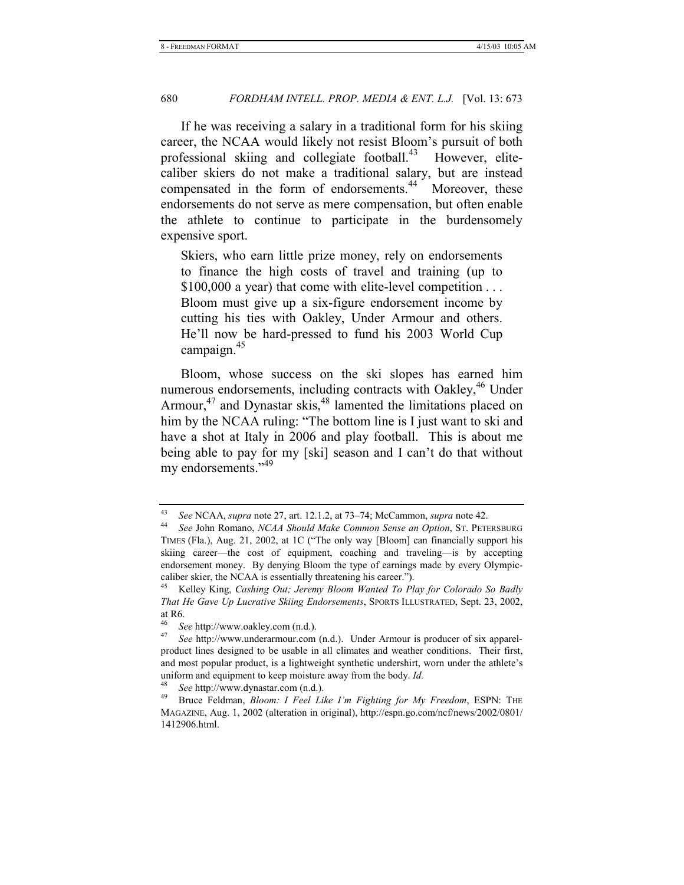If he was receiving a salary in a traditional form for his skiing career, the NCAA would likely not resist Bloom's pursuit of both professional skiing and collegiate football. $43$  However, elitecaliber skiers do not make a traditional salary, but are instead compensated in the form of endorsements.<sup>44</sup> Moreover, these endorsements do not serve as mere compensation, but often enable the athlete to continue to participate in the burdensomely expensive sport.

Skiers, who earn little prize money, rely on endorsements to finance the high costs of travel and training (up to \$100,000 a year) that come with elite-level competition . . . Bloom must give up a six-figure endorsement income by cutting his ties with Oakley, Under Armour and others. He'll now be hard-pressed to fund his 2003 World Cup campaign.<sup>45</sup>

Bloom, whose success on the ski slopes has earned him numerous endorsements, including contracts with Oakley,<sup>46</sup> Under Armour, $47$  and Dynastar skis, $48$  lamented the limitations placed on him by the NCAA ruling: "The bottom line is I just want to ski and have a shot at Italy in 2006 and play football. This is about me being able to pay for my [ski] season and I can't do that without my endorsements."<sup>49</sup>

<sup>43</sup> *See* NCAA, *supra* note 27, art. 12.1.2, at 73–74; McCammon, *supra* note 42. 44 *See* John Romano, *NCAA Should Make Common Sense an Option*, ST. PETERSBURG

TIMES (Fla.), Aug. 21, 2002, at 1C ("The only way [Bloom] can financially support his skiing career—the cost of equipment, coaching and traveling—is by accepting endorsement money. By denying Bloom the type of earnings made by every Olympiccaliber skier, the NCAA is essentially threatening his career.").

<sup>45</sup> Kelley King, *Cashing Out; Jeremy Bloom Wanted To Play for Colorado So Badly That He Gave Up Lucrative Skiing Endorsements*, SPORTS ILLUSTRATED, Sept. 23, 2002, at R6.

<sup>46</sup> *See* http://www.oakley.com (n.d.). 47 *See* http://www.underarmour.com (n.d.). Under Armour is producer of six apparelproduct lines designed to be usable in all climates and weather conditions. Their first, and most popular product, is a lightweight synthetic undershirt, worn under the athlete's uniform and equipment to keep moisture away from the body. *Id.* 

<sup>48</sup> *See* http://www.dynastar.com (n.d.). 49 Bruce Feldman, *Bloom: I Feel Like I'm Fighting for My Freedom*, ESPN: THE MAGAZINE, Aug. 1, 2002 (alteration in original), http://espn.go.com/ncf/news/2002/0801/ 1412906.html.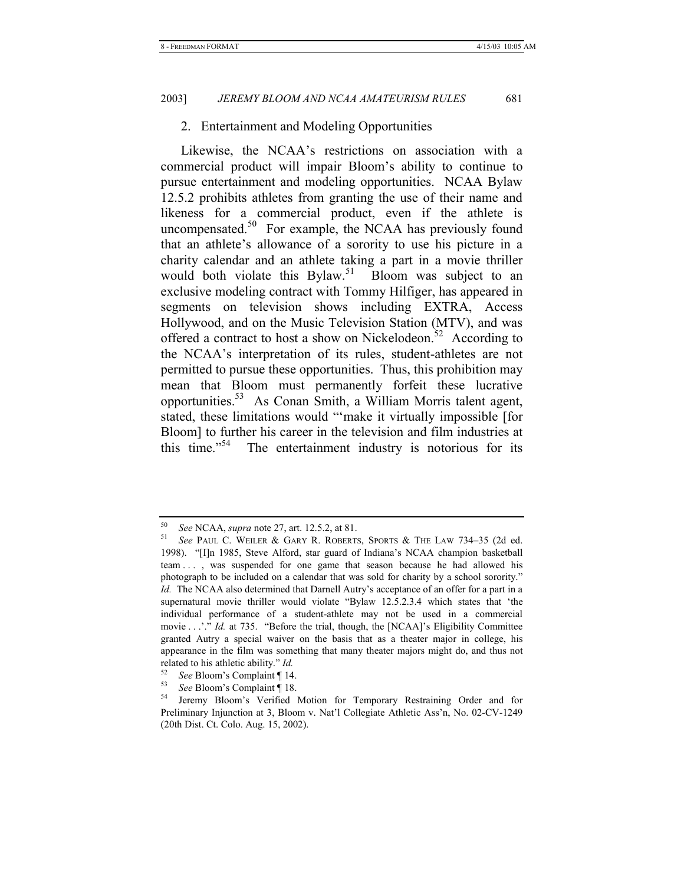# 2. Entertainment and Modeling Opportunities

Likewise, the NCAA's restrictions on association with a commercial product will impair Bloom's ability to continue to pursue entertainment and modeling opportunities. NCAA Bylaw 12.5.2 prohibits athletes from granting the use of their name and likeness for a commercial product, even if the athlete is uncompensated. $50$  For example, the NCAA has previously found that an athlete's allowance of a sorority to use his picture in a charity calendar and an athlete taking a part in a movie thriller would both violate this Bylaw.<sup>51</sup> Bloom was subject to an exclusive modeling contract with Tommy Hilfiger, has appeared in segments on television shows including EXTRA, Access Hollywood, and on the Music Television Station (MTV), and was offered a contract to host a show on Nickelodeon.<sup>52</sup> According to the NCAA's interpretation of its rules, student-athletes are not permitted to pursue these opportunities. Thus, this prohibition may mean that Bloom must permanently forfeit these lucrative opportunities.53 As Conan Smith, a William Morris talent agent, stated, these limitations would "'make it virtually impossible [for Bloom] to further his career in the television and film industries at this time."<sup>54</sup> The entertainment industry is notorious for its

<sup>50</sup> *See* NCAA, *supra* note 27, art. 12.5.2, at 81. 51 *See* PAUL C. WEILER & GARY R. ROBERTS, SPORTS & THE LAW 734–35 (2d ed. 1998). "[I]n 1985, Steve Alford, star guard of Indiana's NCAA champion basketball team . . . , was suspended for one game that season because he had allowed his photograph to be included on a calendar that was sold for charity by a school sorority." *Id.* The NCAA also determined that Darnell Autry's acceptance of an offer for a part in a supernatural movie thriller would violate "Bylaw 12.5.2.3.4 which states that 'the individual performance of a student-athlete may not be used in a commercial movie . . .'." *Id.* at 735. "Before the trial, though, the [NCAA]'s Eligibility Committee granted Autry a special waiver on the basis that as a theater major in college, his appearance in the film was something that many theater majors might do, and thus not related to his athletic ability." *Id.*

<sup>52</sup> *See* Bloom's Complaint ¶ 14. 53 *See* Bloom's Complaint ¶ 18. 54 Jeremy Bloom's Verified Motion for Temporary Restraining Order and for Preliminary Injunction at 3, Bloom v. Nat'l Collegiate Athletic Ass'n, No. 02-CV-1249 (20th Dist. Ct. Colo. Aug. 15, 2002).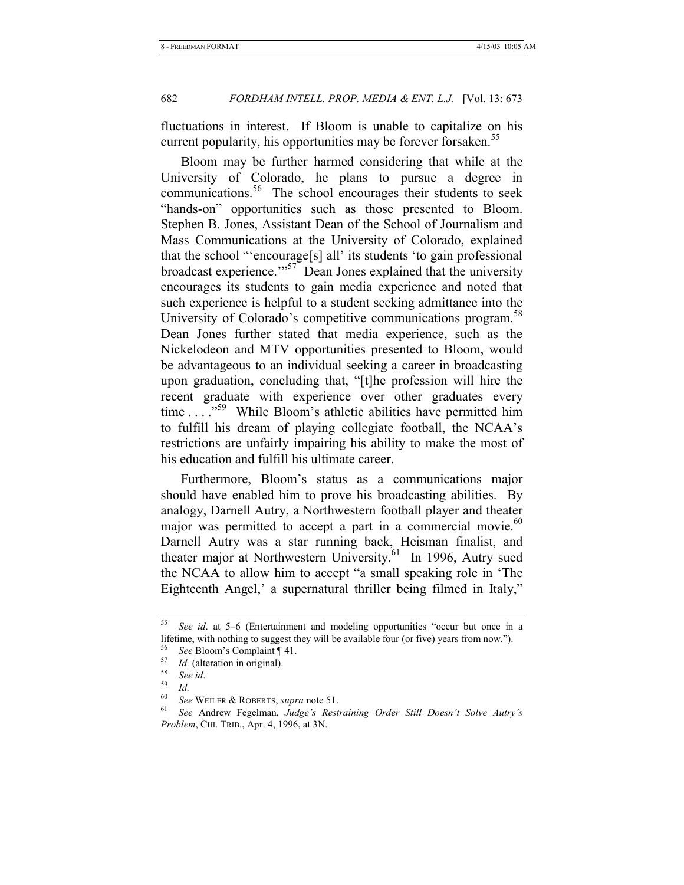fluctuations in interest. If Bloom is unable to capitalize on his current popularity, his opportunities may be forever forsaken.<sup>55</sup>

Bloom may be further harmed considering that while at the University of Colorado, he plans to pursue a degree in communications.<sup>56</sup> The school encourages their students to seek "hands-on" opportunities such as those presented to Bloom. Stephen B. Jones, Assistant Dean of the School of Journalism and Mass Communications at the University of Colorado, explained that the school "'encourage[s] all' its students 'to gain professional broadcast experience."<sup>57</sup> Dean Jones explained that the university encourages its students to gain media experience and noted that such experience is helpful to a student seeking admittance into the University of Colorado's competitive communications program.<sup>58</sup> Dean Jones further stated that media experience, such as the Nickelodeon and MTV opportunities presented to Bloom, would be advantageous to an individual seeking a career in broadcasting upon graduation, concluding that, "[t]he profession will hire the recent graduate with experience over other graduates every time  $\ldots$ <sup>59</sup> While Bloom's athletic abilities have permitted him to fulfill his dream of playing collegiate football, the NCAA's restrictions are unfairly impairing his ability to make the most of his education and fulfill his ultimate career.

Furthermore, Bloom's status as a communications major should have enabled him to prove his broadcasting abilities. By analogy, Darnell Autry, a Northwestern football player and theater major was permitted to accept a part in a commercial movie. $60$ Darnell Autry was a star running back, Heisman finalist, and theater major at Northwestern University.<sup>61</sup> In 1996, Autry sued the NCAA to allow him to accept "a small speaking role in 'The Eighteenth Angel,' a supernatural thriller being filmed in Italy,"

<sup>55</sup> *See id*. at 5–6 (Entertainment and modeling opportunities "occur but once in a lifetime, with nothing to suggest they will be available four (or five) years from now.").

<sup>56</sup> *See* Bloom's Complaint ¶ 41. 57 *Id.* (alteration in original). 58 *See id*. 59 *Id.*

<sup>&</sup>lt;sup>60</sup> See WEILER & ROBERTS, *supra* note 51.<br><sup>61</sup> See Andrew Fegelman, *Judge's Restraining Order Still Doesn't Solve Autry's Problem*, CHI. TRIB., Apr. 4, 1996, at 3N.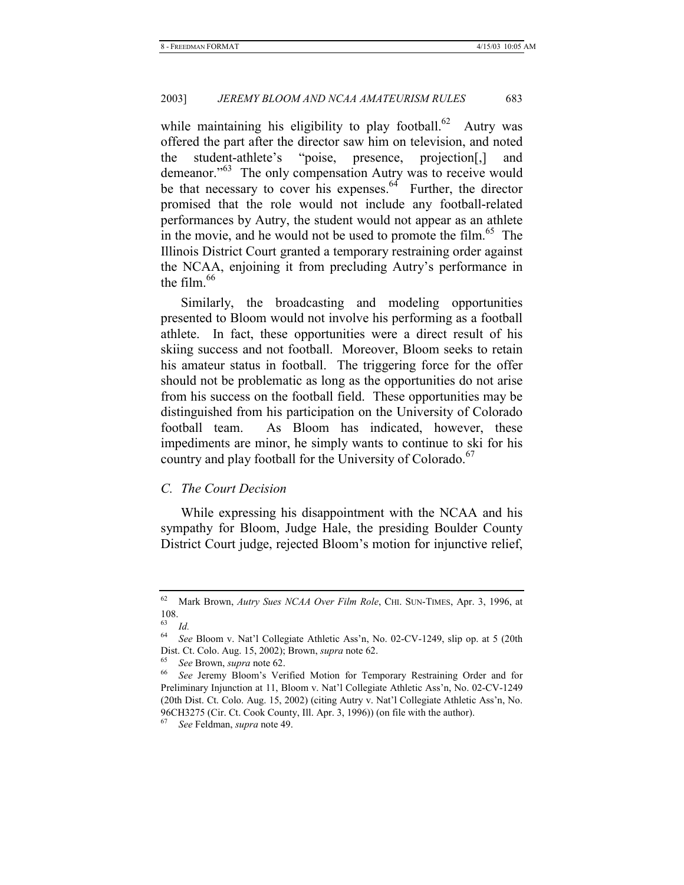while maintaining his eligibility to play football.<sup>62</sup> Autry was offered the part after the director saw him on television, and noted the student-athlete's "poise, presence, projection[,] and demeanor."<sup>63</sup> The only compensation Autry was to receive would be that necessary to cover his expenses. $64$  Further, the director promised that the role would not include any football-related performances by Autry, the student would not appear as an athlete in the movie, and he would not be used to promote the film.<sup>65</sup> The Illinois District Court granted a temporary restraining order against the NCAA, enjoining it from precluding Autry's performance in the film. $66$ 

Similarly, the broadcasting and modeling opportunities presented to Bloom would not involve his performing as a football athlete. In fact, these opportunities were a direct result of his skiing success and not football. Moreover, Bloom seeks to retain his amateur status in football. The triggering force for the offer should not be problematic as long as the opportunities do not arise from his success on the football field. These opportunities may be distinguished from his participation on the University of Colorado football team. As Bloom has indicated, however, these impediments are minor, he simply wants to continue to ski for his country and play football for the University of Colorado.<sup>67</sup>

# *C. The Court Decision*

While expressing his disappointment with the NCAA and his sympathy for Bloom, Judge Hale, the presiding Boulder County District Court judge, rejected Bloom's motion for injunctive relief,

<sup>62</sup> Mark Brown, *Autry Sues NCAA Over Film Role*, CHI. SUN-TIMES, Apr. 3, 1996, at 108.

<sup>63</sup> *Id.*

<sup>64</sup> *See* Bloom v. Nat'l Collegiate Athletic Ass'n, No. 02-CV-1249, slip op. at 5 (20th Dist. Ct. Colo. Aug. 15, 2002); Brown, *supra* note 62.<br>
<sup>65</sup> See Brown, *supra* note 62.<br>
<sup>66</sup> See Jeremy Bloom's Verified Motion for Temporary Restraining Order and for

Preliminary Injunction at 11, Bloom v. Nat'l Collegiate Athletic Ass'n, No. 02-CV-1249 (20th Dist. Ct. Colo. Aug. 15, 2002) (citing Autry v. Nat'l Collegiate Athletic Ass'n, No. 96CH3275 (Cir. Ct. Cook County, Ill. Apr. 3, 1996)) (on file with the author).

<sup>67</sup> *See* Feldman, *supra* note 49.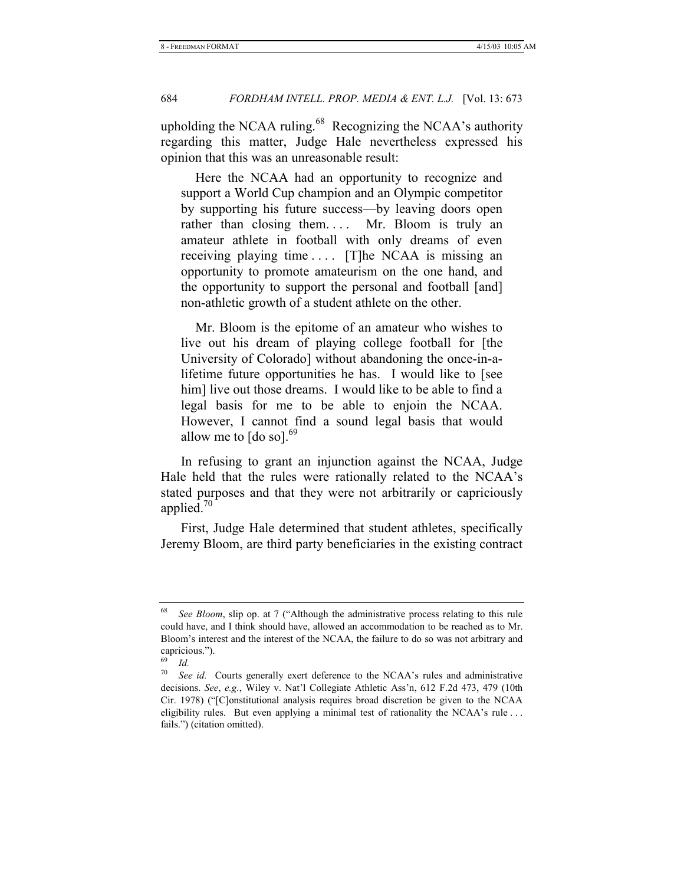upholding the NCAA ruling. $68$  Recognizing the NCAA's authority regarding this matter, Judge Hale nevertheless expressed his opinion that this was an unreasonable result:

 Here the NCAA had an opportunity to recognize and support a World Cup champion and an Olympic competitor by supporting his future success—by leaving doors open rather than closing them.... Mr. Bloom is truly an amateur athlete in football with only dreams of even receiving playing time . . . . [T]he NCAA is missing an opportunity to promote amateurism on the one hand, and the opportunity to support the personal and football [and] non-athletic growth of a student athlete on the other.

 Mr. Bloom is the epitome of an amateur who wishes to live out his dream of playing college football for [the University of Colorado] without abandoning the once-in-alifetime future opportunities he has. I would like to [see him] live out those dreams. I would like to be able to find a legal basis for me to be able to enjoin the NCAA. However, I cannot find a sound legal basis that would allow me to  $\lceil d \cdot \text{col} \rceil$ .<sup>69</sup>

In refusing to grant an injunction against the NCAA, Judge Hale held that the rules were rationally related to the NCAA's stated purposes and that they were not arbitrarily or capriciously applied.70

First, Judge Hale determined that student athletes, specifically Jeremy Bloom, are third party beneficiaries in the existing contract

<sup>68</sup> *See Bloom*, slip op. at 7 ("Although the administrative process relating to this rule could have, and I think should have, allowed an accommodation to be reached as to Mr. Bloom's interest and the interest of the NCAA, the failure to do so was not arbitrary and capricious.").

 $\frac{69}{70}$  *Id.* 

*See id.* Courts generally exert deference to the NCAA's rules and administrative decisions. *See*, *e.g.*, Wiley v. Nat'l Collegiate Athletic Ass'n, 612 F.2d 473, 479 (10th Cir. 1978) ("[C]onstitutional analysis requires broad discretion be given to the NCAA eligibility rules. But even applying a minimal test of rationality the NCAA's rule ... fails.") (citation omitted).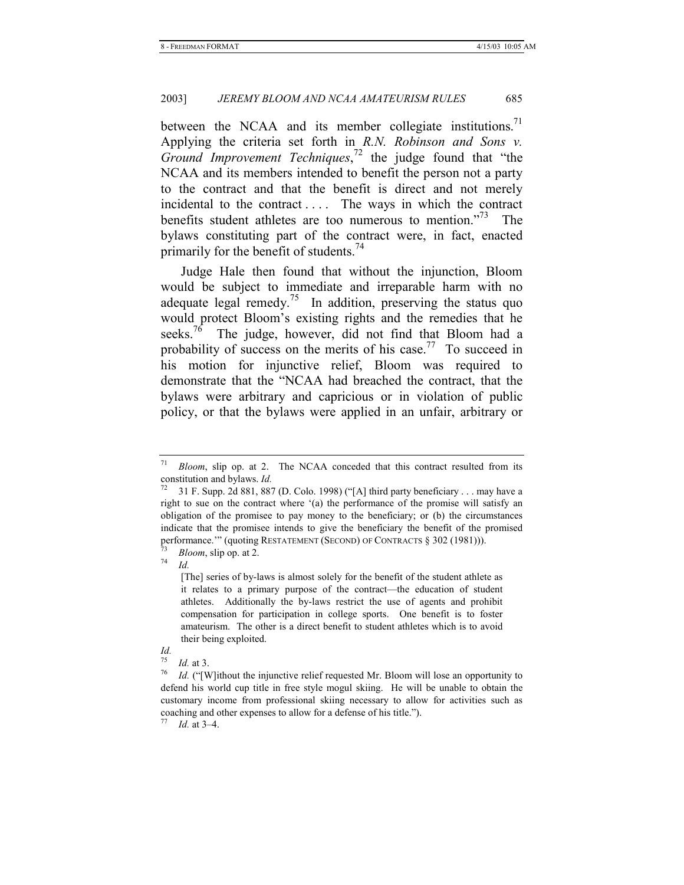between the NCAA and its member collegiate institutions.<sup>71</sup> Applying the criteria set forth in *R.N. Robinson and Sons v. Ground Improvement Techniques*, 72 the judge found that "the NCAA and its members intended to benefit the person not a party to the contract and that the benefit is direct and not merely incidental to the contract .... The ways in which the contract benefits student athletes are too numerous to mention.<sup>773</sup> The bylaws constituting part of the contract were, in fact, enacted primarily for the benefit of students.<sup>74</sup>

Judge Hale then found that without the injunction, Bloom would be subject to immediate and irreparable harm with no adequate legal remedy.<sup>75</sup> In addition, preserving the status quo would protect Bloom's existing rights and the remedies that he seeks.<sup>76</sup> The judge, however, did not find that Bloom had a probability of success on the merits of his case.<sup>77</sup> To succeed in his motion for injunctive relief, Bloom was required to demonstrate that the "NCAA had breached the contract, that the bylaws were arbitrary and capricious or in violation of public policy, or that the bylaws were applied in an unfair, arbitrary or

# *Id.*

<sup>71</sup> *Bloom*, slip op. at 2. The NCAA conceded that this contract resulted from its constitution and bylaws. *Id.*

<sup>&</sup>lt;sup>72</sup> 31 F. Supp. 2d 881, 887 (D. Colo. 1998) ("[A] third party beneficiary . . . may have a right to sue on the contract where '(a) the performance of the promise will satisfy an obligation of the promisee to pay money to the beneficiary; or (b) the circumstances indicate that the promisee intends to give the beneficiary the benefit of the promised performance.'" (quoting RESTATEMENT (SECOND) OF CONTRACTS § 302 (1981))).<br><sup>73</sup> *Bloom*, slip op. at 2.<br>*74 Id.* 

<sup>[</sup>The] series of by-laws is almost solely for the benefit of the student athlete as it relates to a primary purpose of the contract—the education of student athletes. Additionally the by-laws restrict the use of agents and prohibit compensation for participation in college sports. One benefit is to foster amateurism. The other is a direct benefit to student athletes which is to avoid their being exploited.

<sup>&</sup>lt;sup>75</sup> *Id.* at 3.<br><sup>76</sup> *Id.* ("[W]ithout the injunctive relief requested Mr. Bloom will lose an opportunity to defend his world cup title in free style mogul skiing. He will be unable to obtain the customary income from professional skiing necessary to allow for activities such as coaching and other expenses to allow for a defense of his title.").

*Id.* at 3–4.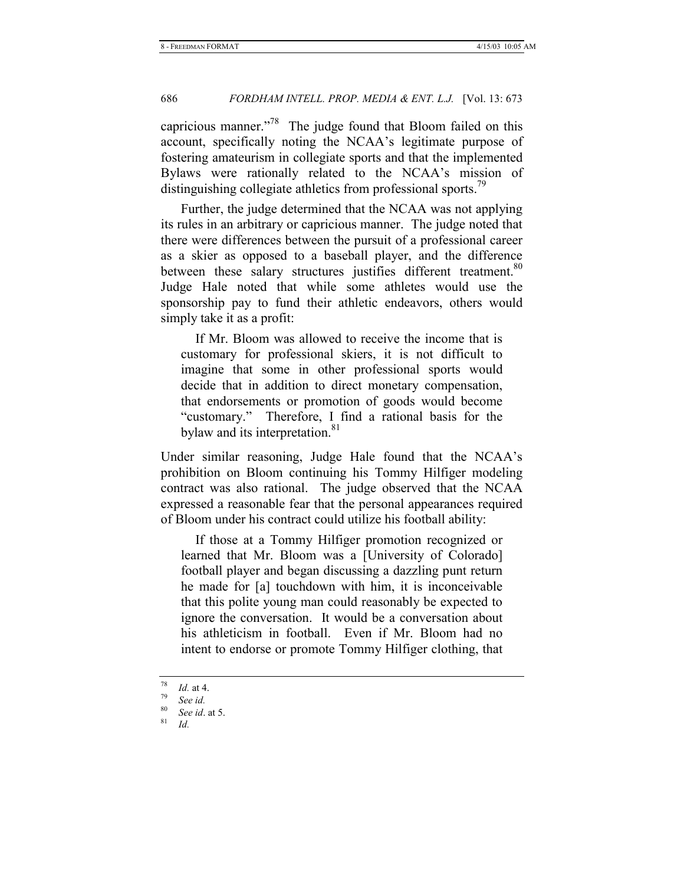capricious manner."<sup>78</sup> The judge found that Bloom failed on this account, specifically noting the NCAA's legitimate purpose of fostering amateurism in collegiate sports and that the implemented Bylaws were rationally related to the NCAA's mission of distinguishing collegiate athletics from professional sports.<sup>79</sup>

Further, the judge determined that the NCAA was not applying its rules in an arbitrary or capricious manner. The judge noted that there were differences between the pursuit of a professional career as a skier as opposed to a baseball player, and the difference between these salary structures justifies different treatment.<sup>80</sup> Judge Hale noted that while some athletes would use the sponsorship pay to fund their athletic endeavors, others would simply take it as a profit:

 If Mr. Bloom was allowed to receive the income that is customary for professional skiers, it is not difficult to imagine that some in other professional sports would decide that in addition to direct monetary compensation, that endorsements or promotion of goods would become "customary." Therefore, I find a rational basis for the bylaw and its interpretation.<sup>81</sup>

Under similar reasoning, Judge Hale found that the NCAA's prohibition on Bloom continuing his Tommy Hilfiger modeling contract was also rational. The judge observed that the NCAA expressed a reasonable fear that the personal appearances required of Bloom under his contract could utilize his football ability:

 If those at a Tommy Hilfiger promotion recognized or learned that Mr. Bloom was a [University of Colorado] football player and began discussing a dazzling punt return he made for [a] touchdown with him, it is inconceivable that this polite young man could reasonably be expected to ignore the conversation. It would be a conversation about his athleticism in football. Even if Mr. Bloom had no intent to endorse or promote Tommy Hilfiger clothing, that

<sup>78</sup> *Id.* at 4. 79 *See id.*

<sup>80</sup> *See id*. at 5. 81 *Id.*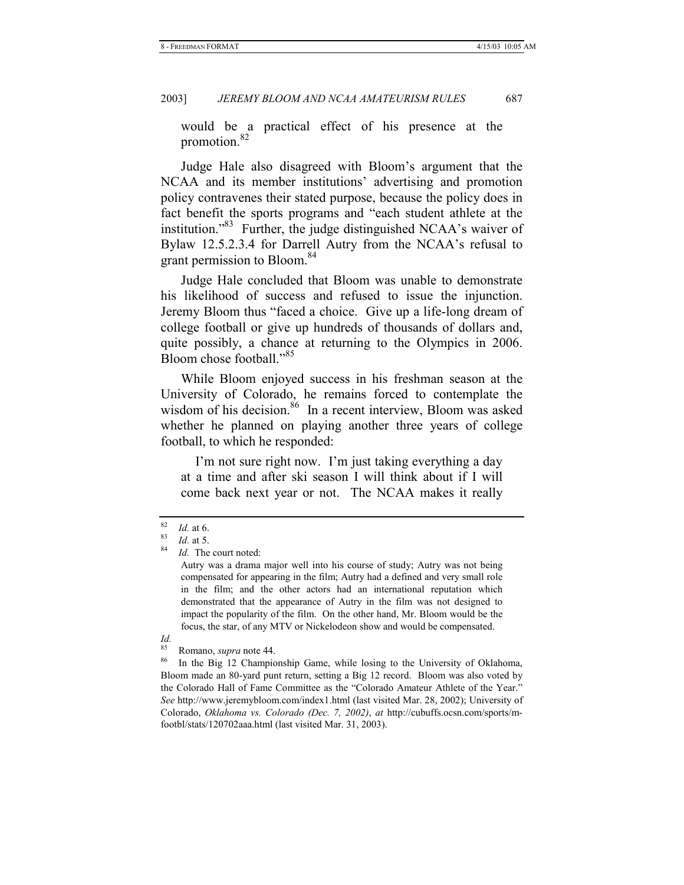would be a practical effect of his presence at the promotion.<sup>82</sup>

Judge Hale also disagreed with Bloom's argument that the NCAA and its member institutions' advertising and promotion policy contravenes their stated purpose, because the policy does in fact benefit the sports programs and "each student athlete at the institution."83 Further, the judge distinguished NCAA's waiver of Bylaw 12.5.2.3.4 for Darrell Autry from the NCAA's refusal to grant permission to Bloom.<sup>84</sup>

Judge Hale concluded that Bloom was unable to demonstrate his likelihood of success and refused to issue the injunction. Jeremy Bloom thus "faced a choice. Give up a life-long dream of college football or give up hundreds of thousands of dollars and, quite possibly, a chance at returning to the Olympics in 2006. Bloom chose football."<sup>85</sup>

While Bloom enjoyed success in his freshman season at the University of Colorado, he remains forced to contemplate the wisdom of his decision.<sup>86</sup> In a recent interview, Bloom was asked whether he planned on playing another three years of college football, to which he responded:

 I'm not sure right now. I'm just taking everything a day at a time and after ski season I will think about if I will come back next year or not. The NCAA makes it really

*Id.*

<sup>82</sup> *Id.* at 6. 83 *Id.* at 5. 84 *Id.* The court noted:

Autry was a drama major well into his course of study; Autry was not being compensated for appearing in the film; Autry had a defined and very small role in the film; and the other actors had an international reputation which demonstrated that the appearance of Autry in the film was not designed to impact the popularity of the film. On the other hand, Mr. Bloom would be the focus, the star, of any MTV or Nickelodeon show and would be compensated.

<sup>&</sup>lt;sup>85</sup> Romano, *supra* note 44.<br><sup>86</sup> In the Big 12 Championship Game, while losing to the University of Oklahoma, Bloom made an 80-yard punt return, setting a Big 12 record. Bloom was also voted by the Colorado Hall of Fame Committee as the "Colorado Amateur Athlete of the Year." *See* http://www.jeremybloom.com/index1.html (last visited Mar. 28, 2002); University of Colorado, *Oklahoma vs. Colorado (Dec. 7, 2002)*, *at* http://cubuffs.ocsn.com/sports/mfootbl/stats/120702aaa.html (last visited Mar. 31, 2003).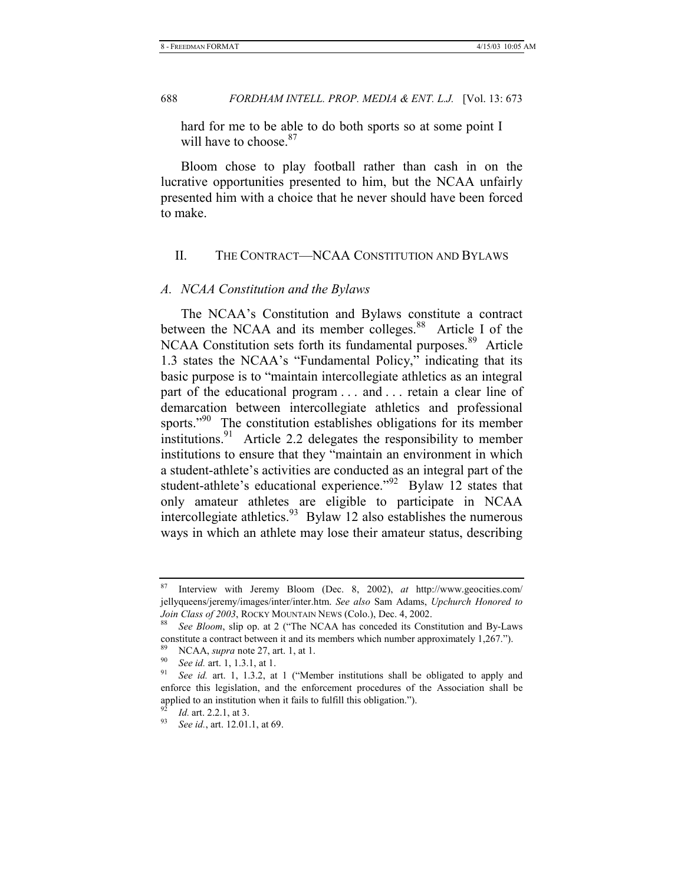hard for me to be able to do both sports so at some point I will have to choose <sup>87</sup>

Bloom chose to play football rather than cash in on the lucrative opportunities presented to him, but the NCAA unfairly presented him with a choice that he never should have been forced to make.

# II. THE CONTRACT—NCAA CONSTITUTION AND BYLAWS

# *A. NCAA Constitution and the Bylaws*

The NCAA's Constitution and Bylaws constitute a contract between the NCAA and its member colleges.<sup>88</sup> Article I of the NCAA Constitution sets forth its fundamental purposes.<sup>89</sup> Article 1.3 states the NCAA's "Fundamental Policy," indicating that its basic purpose is to "maintain intercollegiate athletics as an integral part of the educational program . . . and . . . retain a clear line of demarcation between intercollegiate athletics and professional sports."<sup>90</sup> The constitution establishes obligations for its member institutions.<sup>91</sup> Article 2.2 delegates the responsibility to member institutions to ensure that they "maintain an environment in which a student-athlete's activities are conducted as an integral part of the student-athlete's educational experience."<sup>92</sup> Bylaw 12 states that only amateur athletes are eligible to participate in NCAA intercollegiate athletics.<sup>93</sup> Bylaw 12 also establishes the numerous ways in which an athlete may lose their amateur status, describing

<sup>87</sup> Interview with Jeremy Bloom (Dec. 8, 2002), *at* http://www.geocities.com/ jellyqueens/jeremy/images/inter/inter.htm. *See also* Sam Adams, *Upchurch Honored to* 

*Join Class of 2003*, ROCKY MOUNTAIN NEWS (Colo.), Dec. 4, 2002.<br><sup>88</sup> See Bloom, slip op. at 2 ("The NCAA has conceded its Constitution and By-Laws constitute a contract between it and its members which number approximately 1,267.").

<sup>89</sup> NCAA, *supra* note 27, art. 1, at 1. 90 *See id.* art. 1, 1.3.1, at 1. 91 *See id.* art. 1, 1.3.2, at 1 ("Member institutions shall be obligated to apply and enforce this legislation, and the enforcement procedures of the Association shall be applied to an institution when it fails to fulfill this obligation.").

<sup>92</sup> *Id.* art. 2.2.1, at 3. 93 *See id.*, art. 12.01.1, at 69.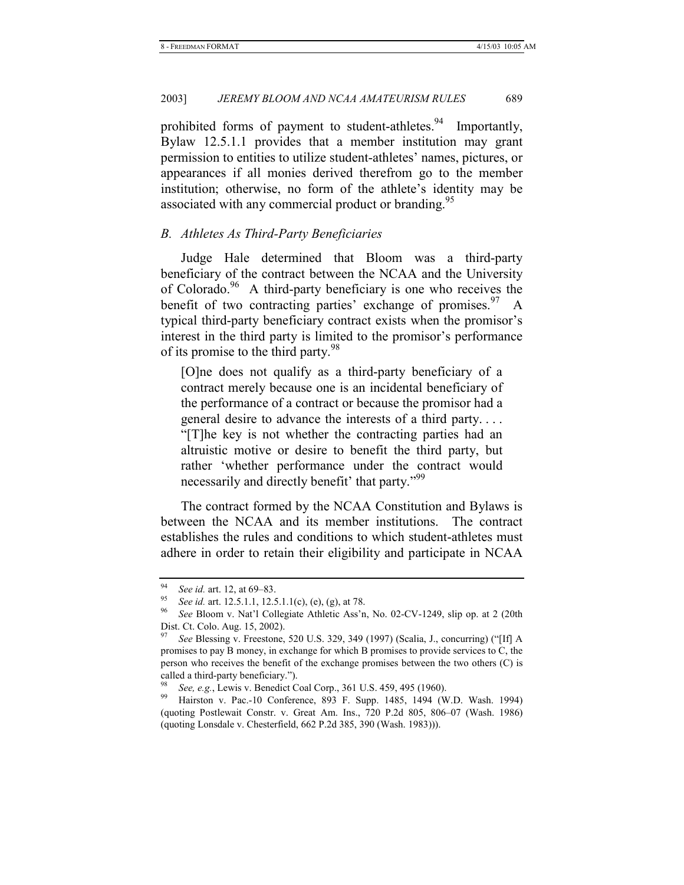prohibited forms of payment to student-athletes.<sup>94</sup> Importantly, Bylaw 12.5.1.1 provides that a member institution may grant permission to entities to utilize student-athletes' names, pictures, or appearances if all monies derived therefrom go to the member institution; otherwise, no form of the athlete's identity may be associated with any commercial product or branding.<sup>95</sup>

# *B. Athletes As Third-Party Beneficiaries*

Judge Hale determined that Bloom was a third-party beneficiary of the contract between the NCAA and the University of Colorado. $96$  A third-party beneficiary is one who receives the benefit of two contracting parties' exchange of promises.  $97\text{ A}$ typical third-party beneficiary contract exists when the promisor's interest in the third party is limited to the promisor's performance of its promise to the third party.<sup>98</sup>

[O]ne does not qualify as a third-party beneficiary of a contract merely because one is an incidental beneficiary of the performance of a contract or because the promisor had a general desire to advance the interests of a third party. . . . "[T]he key is not whether the contracting parties had an altruistic motive or desire to benefit the third party, but rather 'whether performance under the contract would necessarily and directly benefit' that party."<sup>99</sup>

The contract formed by the NCAA Constitution and Bylaws is between the NCAA and its member institutions. The contract establishes the rules and conditions to which student-athletes must adhere in order to retain their eligibility and participate in NCAA

<sup>94</sup> *See id.* art. 12, at 69–83. 95 *See id.* art. 12.5.1.1, 12.5.1.1(c), (e), (g), at 78. 96 *See* Bloom v. Nat'l Collegiate Athletic Ass'n, No. 02-CV-1249, slip op. at 2 (20th Dist. Ct. Colo. Aug. 15, 2002).

<sup>97</sup> *See* Blessing v. Freestone, 520 U.S. 329, 349 (1997) (Scalia, J., concurring) ("[If] A promises to pay B money, in exchange for which B promises to provide services to C, the person who receives the benefit of the exchange promises between the two others (C) is called a third-party beneficiary.").

<sup>98</sup> *See, e.g.*, Lewis v. Benedict Coal Corp., 361 U.S. 459, 495 (1960). 99 Hairston v. Pac.-10 Conference, 893 F. Supp. 1485, 1494 (W.D. Wash. 1994) (quoting Postlewait Constr. v. Great Am. Ins., 720 P.2d 805, 806–07 (Wash. 1986) (quoting Lonsdale v. Chesterfield, 662 P.2d 385, 390 (Wash. 1983))).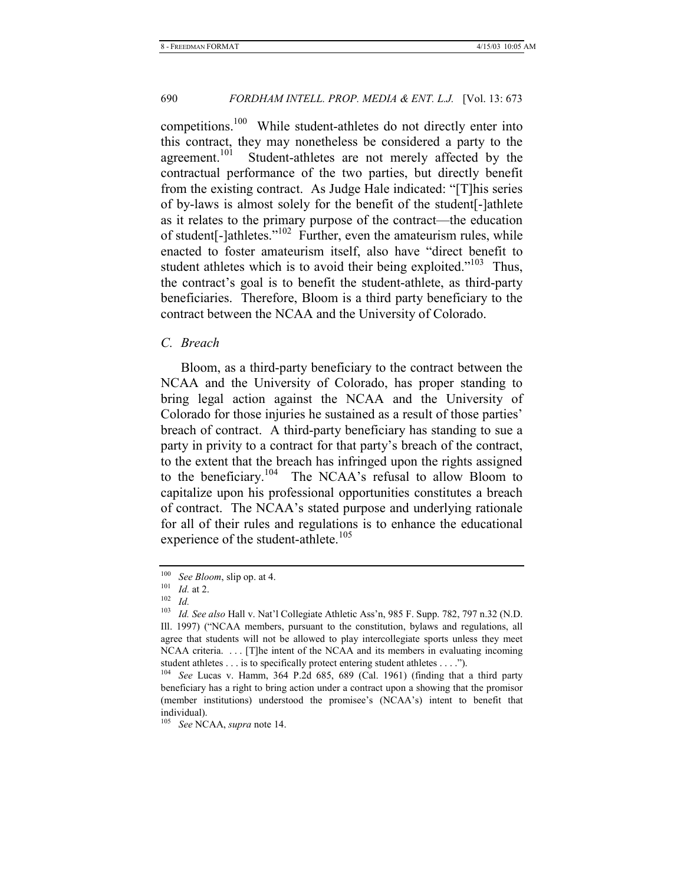competitions.100 While student-athletes do not directly enter into this contract, they may nonetheless be considered a party to the agreement.<sup>101</sup> Student-athletes are not merely affected by the contractual performance of the two parties, but directly benefit from the existing contract. As Judge Hale indicated: "[T]his series of by-laws is almost solely for the benefit of the student[-]athlete as it relates to the primary purpose of the contract—the education of student[-]athletes."102 Further, even the amateurism rules, while enacted to foster amateurism itself, also have "direct benefit to student athletes which is to avoid their being exploited."<sup>103</sup> Thus, the contract's goal is to benefit the student-athlete, as third-party beneficiaries. Therefore, Bloom is a third party beneficiary to the contract between the NCAA and the University of Colorado.

#### *C. Breach*

Bloom, as a third-party beneficiary to the contract between the NCAA and the University of Colorado, has proper standing to bring legal action against the NCAA and the University of Colorado for those injuries he sustained as a result of those parties' breach of contract. A third-party beneficiary has standing to sue a party in privity to a contract for that party's breach of the contract, to the extent that the breach has infringed upon the rights assigned to the beneficiary.<sup>104</sup> The NCAA's refusal to allow Bloom to capitalize upon his professional opportunities constitutes a breach of contract. The NCAA's stated purpose and underlying rationale for all of their rules and regulations is to enhance the educational experience of the student-athlete.<sup>105</sup>

<sup>100</sup> *See Bloom*, slip op. at 4.<br>
101 *Id.* at 2.<br>
102 *Id.*<br>
103 *Id. See also* Hall v. Nat<sup>2</sup>

<sup>103</sup> *Id. See also* Hall v. Nat'l Collegiate Athletic Ass'n, 985 F. Supp. 782, 797 n.32 (N.D. Ill. 1997) ("NCAA members, pursuant to the constitution, bylaws and regulations, all agree that students will not be allowed to play intercollegiate sports unless they meet NCAA criteria. . . . [T]he intent of the NCAA and its members in evaluating incoming student athletes . . . is to specifically protect entering student athletes . . . .").

<sup>104</sup> *See* Lucas v. Hamm, 364 P.2d 685, 689 (Cal. 1961) (finding that a third party beneficiary has a right to bring action under a contract upon a showing that the promisor (member institutions) understood the promisee's (NCAA's) intent to benefit that individual).

<sup>105</sup> *See* NCAA, *supra* note 14.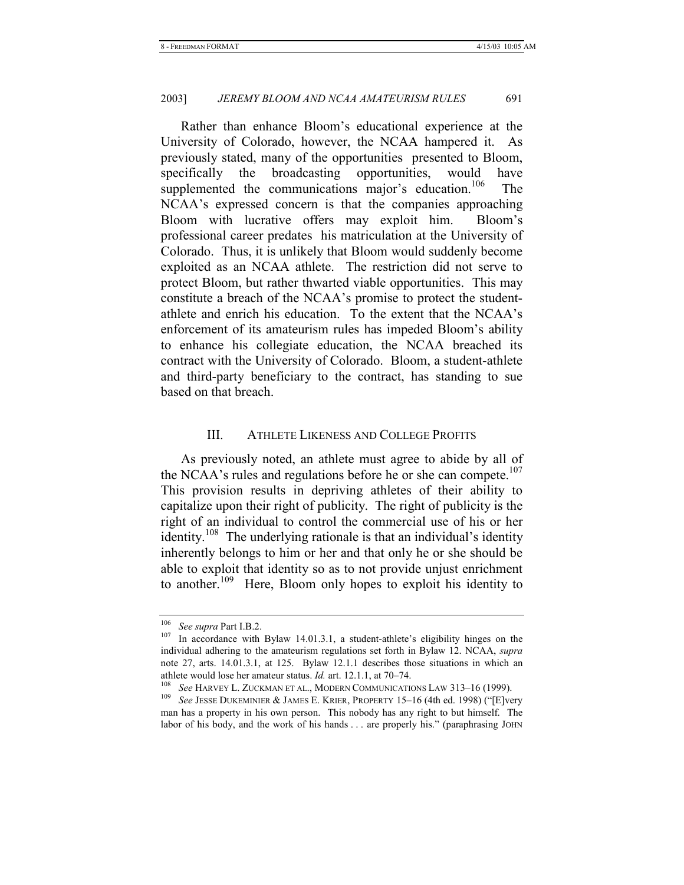Rather than enhance Bloom's educational experience at the University of Colorado, however, the NCAA hampered it. As previously stated, many of the opportunities presented to Bloom, specifically the broadcasting opportunities, would have supplemented the communications major's education.<sup>106</sup> The NCAA's expressed concern is that the companies approaching Bloom with lucrative offers may exploit him. Bloom's professional career predates his matriculation at the University of Colorado. Thus, it is unlikely that Bloom would suddenly become exploited as an NCAA athlete. The restriction did not serve to protect Bloom, but rather thwarted viable opportunities. This may constitute a breach of the NCAA's promise to protect the studentathlete and enrich his education. To the extent that the NCAA's enforcement of its amateurism rules has impeded Bloom's ability to enhance his collegiate education, the NCAA breached its contract with the University of Colorado. Bloom, a student-athlete and third-party beneficiary to the contract, has standing to sue based on that breach.

#### III. ATHLETE LIKENESS AND COLLEGE PROFITS

As previously noted, an athlete must agree to abide by all of the NCAA's rules and regulations before he or she can compete.<sup>107</sup> This provision results in depriving athletes of their ability to capitalize upon their right of publicity. The right of publicity is the right of an individual to control the commercial use of his or her identity.<sup>108</sup> The underlying rationale is that an individual's identity inherently belongs to him or her and that only he or she should be able to exploit that identity so as to not provide unjust enrichment to another.<sup>109</sup> Here, Bloom only hopes to exploit his identity to

<sup>&</sup>lt;sup>106</sup> See supra Part I.B.2.<br><sup>107</sup> In accordance with Bylaw 14.01.3.1, a student-athlete's eligibility hinges on the individual adhering to the amateurism regulations set forth in Bylaw 12. NCAA, *supra* note 27, arts. 14.01.3.1, at 125. Bylaw 12.1.1 describes those situations in which an

athlete would lose her amateur status. *Id.* art. 12.1.1, at 70–74.<br><sup>108</sup> See HARVEY L. ZUCKMAN ET AL., MODERN COMMUNICATIONS LAW 313–16 (1999).<br><sup>109</sup> See JESSE DUKEMINIER & JAMES E. KRIER, PROPERTY 15–16 (4th ed. 1998) ( man has a property in his own person. This nobody has any right to but himself. The labor of his body, and the work of his hands . . . are properly his." (paraphrasing JOHN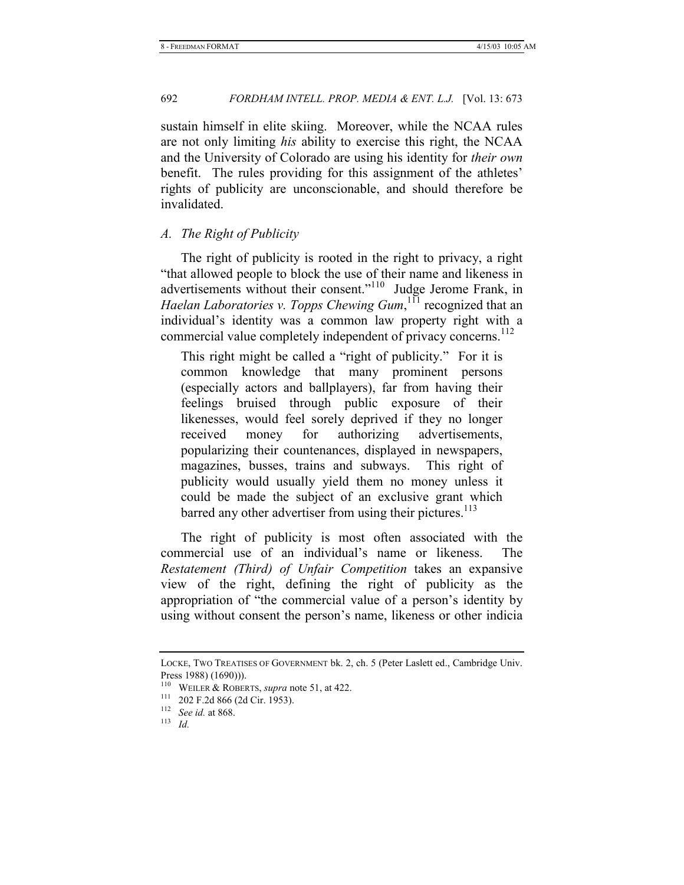sustain himself in elite skiing. Moreover, while the NCAA rules are not only limiting *his* ability to exercise this right, the NCAA and the University of Colorado are using his identity for *their own* benefit. The rules providing for this assignment of the athletes' rights of publicity are unconscionable, and should therefore be invalidated.

# *A. The Right of Publicity*

The right of publicity is rooted in the right to privacy, a right "that allowed people to block the use of their name and likeness in advertisements without their consent."110 Judge Jerome Frank, in Haelan Laboratories v. Topps Chewing Gum, <sup>111</sup> recognized that an individual's identity was a common law property right with a commercial value completely independent of privacy concerns.<sup>112</sup>

This right might be called a "right of publicity." For it is common knowledge that many prominent persons (especially actors and ballplayers), far from having their feelings bruised through public exposure of their likenesses, would feel sorely deprived if they no longer received money for authorizing advertisements, popularizing their countenances, displayed in newspapers, magazines, busses, trains and subways. This right of publicity would usually yield them no money unless it could be made the subject of an exclusive grant which barred any other advertiser from using their pictures.<sup>113</sup>

The right of publicity is most often associated with the commercial use of an individual's name or likeness. The *Restatement (Third) of Unfair Competition* takes an expansive view of the right, defining the right of publicity as the appropriation of "the commercial value of a person's identity by using without consent the person's name, likeness or other indicia

LOCKE, TWO TREATISES OF GOVERNMENT bk. 2, ch. 5 (Peter Laslett ed., Cambridge Univ. Press 1988) (1690))).

<sup>110</sup> WEILER & ROBERTS, *supra* note 51, at 422. 111 202 F.2d 866 (2d Cir. 1953). 112 *See id.* at 868. 113 *Id.*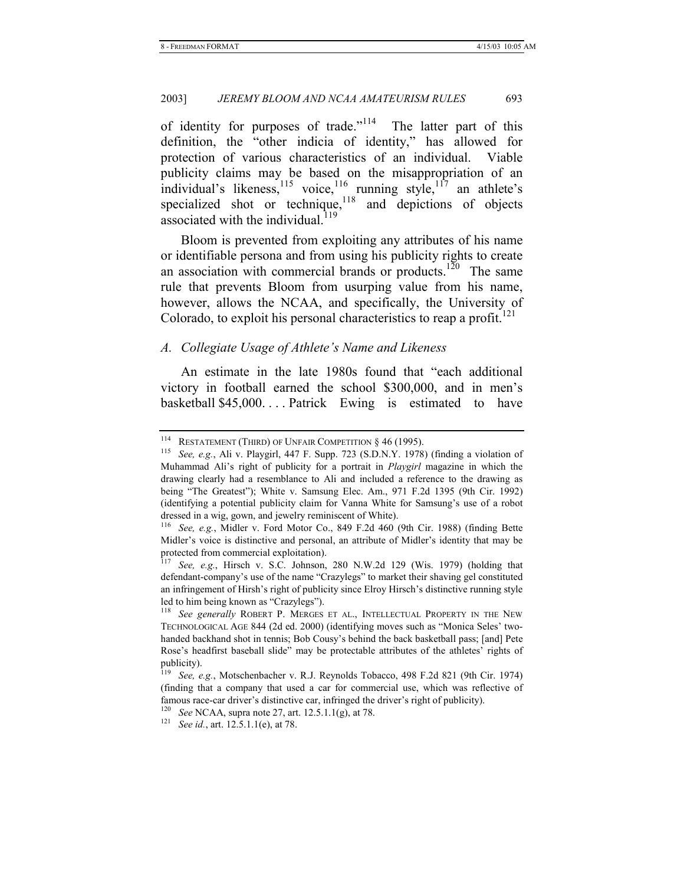of identity for purposes of trade."114 The latter part of this definition, the "other indicia of identity," has allowed for protection of various characteristics of an individual. Viable publicity claims may be based on the misappropriation of an individual's likeness,<sup>115</sup> voice,<sup>116</sup> running style,<sup>117</sup> an athlete's specialized shot or technique,  $118$  and depictions of objects associated with the individual. $119$ 

Bloom is prevented from exploiting any attributes of his name or identifiable persona and from using his publicity rights to create an association with commercial brands or products.<sup>120</sup> The same rule that prevents Bloom from usurping value from his name, however, allows the NCAA, and specifically, the University of Colorado, to exploit his personal characteristics to reap a profit.<sup>121</sup>

### *A. Collegiate Usage of Athlete's Name and Likeness*

An estimate in the late 1980s found that "each additional victory in football earned the school \$300,000, and in men's basketball \$45,000. . . . Patrick Ewing is estimated to have

<sup>&</sup>lt;sup>114</sup> RESTATEMENT (THIRD) OF UNFAIR COMPETITION § 46 (1995).<br><sup>115</sup> See, e.g., Ali v. Playgirl, 447 F. Supp. 723 (S.D.N.Y. 1978) (finding a violation of Muhammad Ali's right of publicity for a portrait in *Playgirl* magazine in which the drawing clearly had a resemblance to Ali and included a reference to the drawing as being "The Greatest"); White v. Samsung Elec. Am., 971 F.2d 1395 (9th Cir. 1992) (identifying a potential publicity claim for Vanna White for Samsung's use of a robot dressed in a wig, gown, and jewelry reminiscent of White).

<sup>116</sup> *See, e.g.*, Midler v. Ford Motor Co., 849 F.2d 460 (9th Cir. 1988) (finding Bette Midler's voice is distinctive and personal, an attribute of Midler's identity that may be protected from commercial exploitation).

<sup>117</sup> *See, e.g.*, Hirsch v. S.C. Johnson, 280 N.W.2d 129 (Wis. 1979) (holding that defendant-company's use of the name "Crazylegs" to market their shaving gel constituted an infringement of Hirsh's right of publicity since Elroy Hirsch's distinctive running style led to him being known as "Crazylegs").

<sup>118</sup> *See generally* ROBERT P. MERGES ET AL., INTELLECTUAL PROPERTY IN THE NEW TECHNOLOGICAL AGE 844 (2d ed. 2000) (identifying moves such as "Monica Seles' twohanded backhand shot in tennis; Bob Cousy's behind the back basketball pass; [and] Pete Rose's headfirst baseball slide" may be protectable attributes of the athletes' rights of publicity).

<sup>119</sup> *See, e.g.*, Motschenbacher v. R.J. Reynolds Tobacco, 498 F.2d 821 (9th Cir. 1974) (finding that a company that used a car for commercial use, which was reflective of famous race-car driver's distinctive car, infringed the driver's right of publicity).

<sup>120</sup> *See* NCAA, supra note 27, art. 12.5.1.1(g), at 78. 121 *See id.*, art. 12.5.1.1(e), at 78.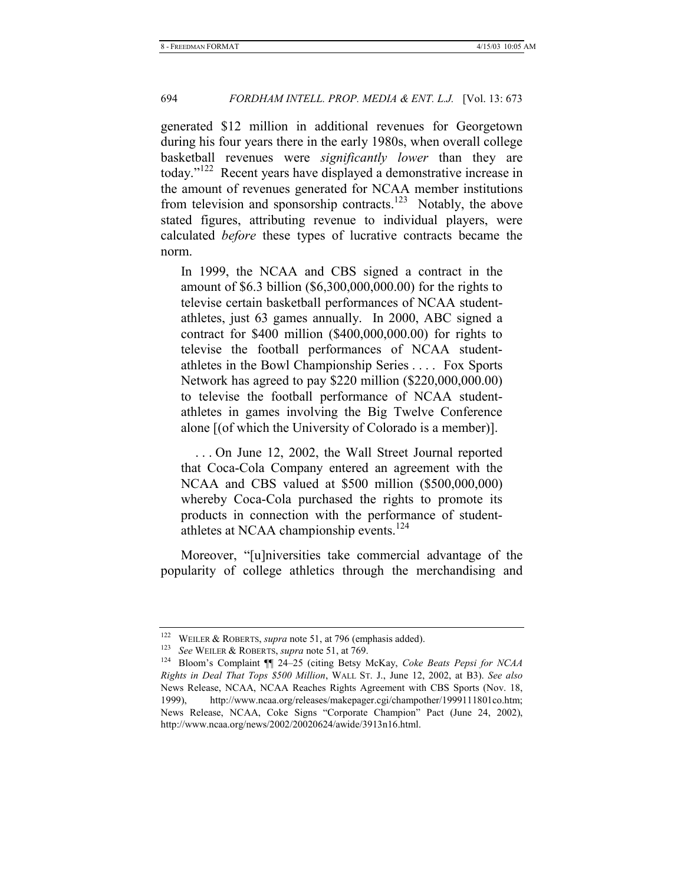generated \$12 million in additional revenues for Georgetown during his four years there in the early 1980s, when overall college basketball revenues were *significantly lower* than they are today."122 Recent years have displayed a demonstrative increase in the amount of revenues generated for NCAA member institutions from television and sponsorship contracts.<sup>123</sup> Notably, the above stated figures, attributing revenue to individual players, were calculated *before* these types of lucrative contracts became the norm.

In 1999, the NCAA and CBS signed a contract in the amount of \$6.3 billion (\$6,300,000,000.00) for the rights to televise certain basketball performances of NCAA studentathletes, just 63 games annually. In 2000, ABC signed a contract for \$400 million (\$400,000,000.00) for rights to televise the football performances of NCAA studentathletes in the Bowl Championship Series . . . . Fox Sports Network has agreed to pay \$220 million (\$220,000,000.00) to televise the football performance of NCAA studentathletes in games involving the Big Twelve Conference alone [(of which the University of Colorado is a member)].

 . . . On June 12, 2002, the Wall Street Journal reported that Coca-Cola Company entered an agreement with the NCAA and CBS valued at \$500 million (\$500,000,000) whereby Coca-Cola purchased the rights to promote its products in connection with the performance of studentathletes at NCAA championship events.<sup>124</sup>

Moreover, "[u]niversities take commercial advantage of the popularity of college athletics through the merchandising and

<sup>122</sup> WEILER & ROBERTS, *supra* note 51, at 796 (emphasis added). 123 *See* WEILER & ROBERTS, *supra* note 51, at 769. 124 Bloom's Complaint ¶¶ 24–25 (citing Betsy McKay, *Coke Beats Pepsi for NCAA Rights in Deal That Tops \$500 Million*, WALL ST. J., June 12, 2002, at B3). *See also*  News Release, NCAA, NCAA Reaches Rights Agreement with CBS Sports (Nov. 18, 1999), http://www.ncaa.org/releases/makepager.cgi/champother/1999111801co.htm; News Release, NCAA, Coke Signs "Corporate Champion" Pact (June 24, 2002), http://www.ncaa.org/news/2002/20020624/awide/3913n16.html.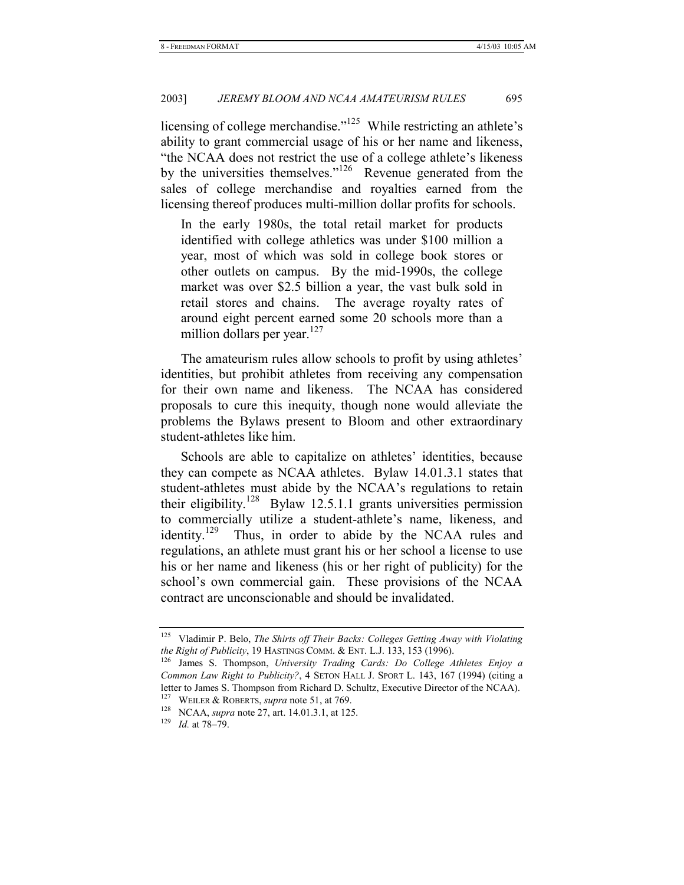licensing of college merchandise."<sup>125</sup> While restricting an athlete's ability to grant commercial usage of his or her name and likeness, "the NCAA does not restrict the use of a college athlete's likeness by the universities themselves."<sup>126</sup> Revenue generated from the sales of college merchandise and royalties earned from the licensing thereof produces multi-million dollar profits for schools.

In the early 1980s, the total retail market for products identified with college athletics was under \$100 million a year, most of which was sold in college book stores or other outlets on campus. By the mid-1990s, the college market was over \$2.5 billion a year, the vast bulk sold in retail stores and chains. The average royalty rates of around eight percent earned some 20 schools more than a million dollars per year.<sup>127</sup>

The amateurism rules allow schools to profit by using athletes' identities, but prohibit athletes from receiving any compensation for their own name and likeness. The NCAA has considered proposals to cure this inequity, though none would alleviate the problems the Bylaws present to Bloom and other extraordinary student-athletes like him.

Schools are able to capitalize on athletes' identities, because they can compete as NCAA athletes. Bylaw 14.01.3.1 states that student-athletes must abide by the NCAA's regulations to retain their eligibility.<sup>128</sup> Bylaw 12.5.1.1 grants universities permission to commercially utilize a student-athlete's name, likeness, and identity.<sup>129</sup> Thus, in order to abide by the NCAA rules and regulations, an athlete must grant his or her school a license to use his or her name and likeness (his or her right of publicity) for the school's own commercial gain. These provisions of the NCAA contract are unconscionable and should be invalidated.

<sup>125</sup> Vladimir P. Belo, *The Shirts off Their Backs: Colleges Getting Away with Violating the Right of Publicity*, 19 HASTINGS COMM. & ENT. L.J. 133, 153 (1996). <sup>126</sup> James S. Thompson, *University Trading Cards: Do College Athletes Enjoy a* 

*Common Law Right to Publicity?*, 4 SETON HALL J. SPORT L. 143, 167 (1994) (citing a letter to James S. Thompson from Richard D. Schultz, Executive Director of the NCAA).

<sup>127</sup> WEILER & ROBERTS, *supra* note 51, at 769. 128 NCAA, *supra* note 27, art. 14.01.3.1, at 125. 129 *Id.* at 78–79.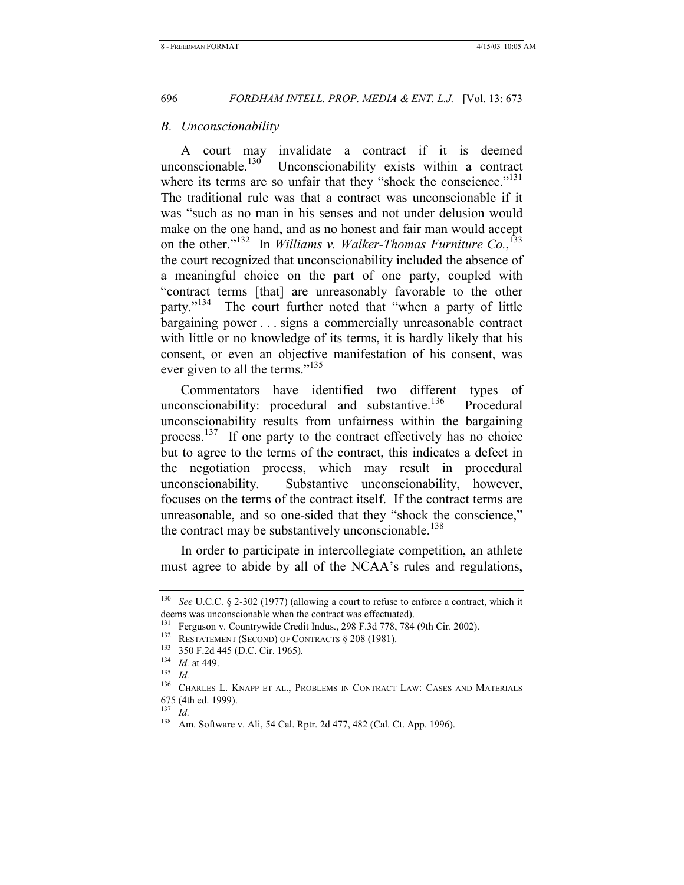#### *B. Unconscionability*

A court may invalidate a contract if it is deemed unconscionable.<sup>130</sup> Unconscionability exists within a contract Unconscionability exists within a contract where its terms are so unfair that they "shock the conscience."<sup>131</sup> The traditional rule was that a contract was unconscionable if it was "such as no man in his senses and not under delusion would make on the one hand, and as no honest and fair man would accept on the other."<sup>132</sup> In *Williams v. Walker-Thomas Furniture Co.*,<sup>133</sup> the court recognized that unconscionability included the absence of a meaningful choice on the part of one party, coupled with "contract terms [that] are unreasonably favorable to the other party."<sup>134</sup> The court further noted that "when a party of little bargaining power . . . signs a commercially unreasonable contract with little or no knowledge of its terms, it is hardly likely that his consent, or even an objective manifestation of his consent, was ever given to all the terms."<sup>135</sup>

Commentators have identified two different types of unconscionability: procedural and substantive.<sup>136</sup> Procedural unconscionability results from unfairness within the bargaining process.<sup>137</sup> If one party to the contract effectively has no choice but to agree to the terms of the contract, this indicates a defect in the negotiation process, which may result in procedural unconscionability. Substantive unconscionability, however, focuses on the terms of the contract itself. If the contract terms are unreasonable, and so one-sided that they "shock the conscience," the contract may be substantively unconscionable.<sup>138</sup>

In order to participate in intercollegiate competition, an athlete must agree to abide by all of the NCAA's rules and regulations,

<sup>130</sup> *See* U.C.C. § 2-302 (1977) (allowing a court to refuse to enforce a contract, which it deems was unconscionable when the contract was effectuated).

<sup>131</sup> Ferguson v. Countrywide Credit Indus., 298 F.3d 778, 784 (9th Cir. 2002).<br>
132 RESTATEMENT (SECOND) OF CONTRACTS § 208 (1981).<br>
133 350 F.2d 445 (D.C. Cir. 1965).<br>
134 *Id.* at 449.<br>
135 *Id.* 

<sup>136</sup> CHARLES L. KNAPP ET AL., PROBLEMS IN CONTRACT LAW: CASES AND MATERIALS 675 (4th ed. 1999).

<sup>137</sup> *Id.*

<sup>138</sup> Am. Software v. Ali, 54 Cal. Rptr. 2d 477, 482 (Cal. Ct. App. 1996).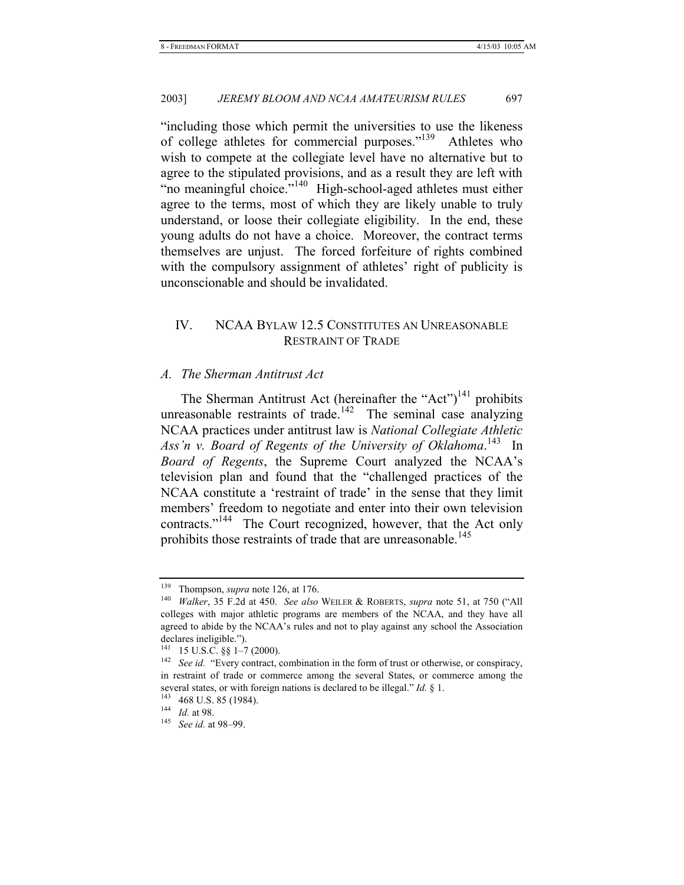"including those which permit the universities to use the likeness of college athletes for commercial purposes."139 Athletes who wish to compete at the collegiate level have no alternative but to agree to the stipulated provisions, and as a result they are left with "no meaningful choice."<sup>140</sup> High-school-aged athletes must either agree to the terms, most of which they are likely unable to truly understand, or loose their collegiate eligibility. In the end, these young adults do not have a choice. Moreover, the contract terms themselves are unjust. The forced forfeiture of rights combined with the compulsory assignment of athletes' right of publicity is unconscionable and should be invalidated.

# IV. NCAA BYLAW 12.5 CONSTITUTES AN UNREASONABLE RESTRAINT OF TRADE

# *A. The Sherman Antitrust Act*

The Sherman Antitrust Act (hereinafter the "Act")<sup>141</sup> prohibits unreasonable restraints of trade.<sup>142</sup> The seminal case analyzing NCAA practices under antitrust law is *National Collegiate Athletic*  Ass'n v. Board of Regents of the University of Oklahoma.<sup>143</sup> In *Board of Regents*, the Supreme Court analyzed the NCAA's television plan and found that the "challenged practices of the NCAA constitute a 'restraint of trade' in the sense that they limit members' freedom to negotiate and enter into their own television contracts."144 The Court recognized, however, that the Act only prohibits those restraints of trade that are unreasonable.<sup>145</sup>

<sup>&</sup>lt;sup>139</sup> Thompson, *supra* note 126, at 176.<br><sup>140</sup> *Walker*, 35 F.2d at 450. *See also* WEILER & ROBERTS, *supra* note 51, at 750 ("All colleges with major athletic programs are members of the NCAA, and they have all agreed to abide by the NCAA's rules and not to play against any school the Association

declares ineligible.").<br> $^{141}$  15 U.S.C. §§ 1–7 (2000).

<sup>&</sup>lt;sup>142</sup> See id. "Every contract, combination in the form of trust or otherwise, or conspiracy, in restraint of trade or commerce among the several States, or commerce among the several states, or with foreign nations is declared to be illegal." *Id.* § 1. <sup>143</sup> 468 U.S. 85 (1984). <sup>144</sup> *Id.* at 98. See *id.* at 98–99.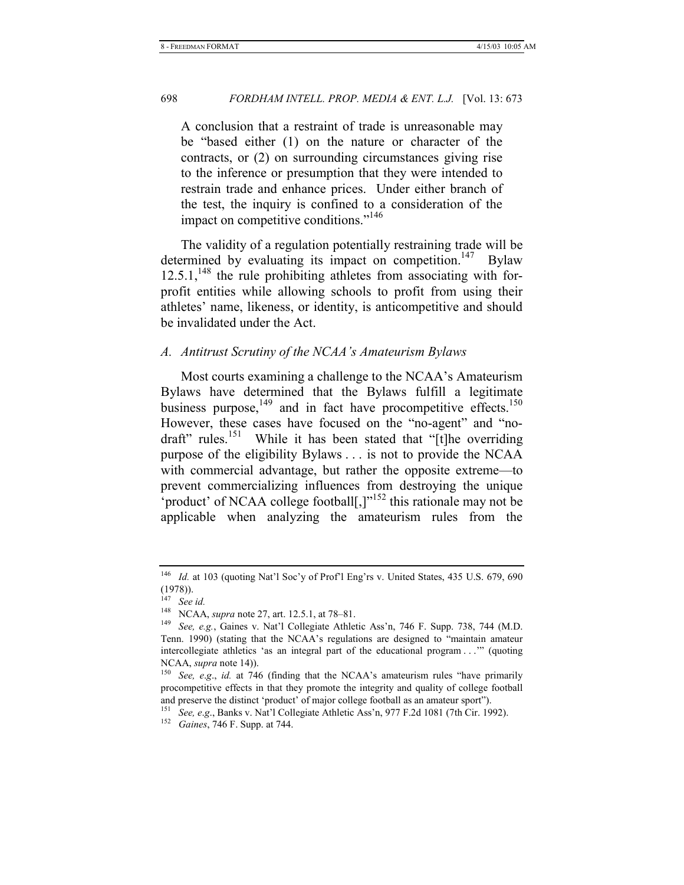A conclusion that a restraint of trade is unreasonable may be "based either (1) on the nature or character of the contracts, or (2) on surrounding circumstances giving rise to the inference or presumption that they were intended to restrain trade and enhance prices. Under either branch of the test, the inquiry is confined to a consideration of the impact on competitive conditions."<sup>146</sup>

The validity of a regulation potentially restraining trade will be determined by evaluating its impact on competition.<sup>147</sup> Bylaw  $12.5.1$ ,<sup>148</sup> the rule prohibiting athletes from associating with forprofit entities while allowing schools to profit from using their athletes' name, likeness, or identity, is anticompetitive and should be invalidated under the Act.

# *A. Antitrust Scrutiny of the NCAA's Amateurism Bylaws*

Most courts examining a challenge to the NCAA's Amateurism Bylaws have determined that the Bylaws fulfill a legitimate business purpose, $149$  and in fact have procompetitive effects.<sup>150</sup> However, these cases have focused on the "no-agent" and "nodraft" rules.<sup>151</sup> While it has been stated that "[t]he overriding purpose of the eligibility Bylaws . . . is not to provide the NCAA with commercial advantage, but rather the opposite extreme—to prevent commercializing influences from destroying the unique 'product' of NCAA college football[,]"152 this rationale may not be applicable when analyzing the amateurism rules from the

<sup>&</sup>lt;sup>146</sup> *Id.* at 103 (quoting Nat'l Soc'y of Prof'l Eng'rs v. United States, 435 U.S. 679, 690 (1978)).

<sup>&</sup>lt;sup>147</sup> *See id.*<br><sup>148</sup> NCAA, *supra* note 27, art. 12.5.1, at 78–81.

<sup>&</sup>lt;sup>149</sup> See, e.g., Gaines v. Nat'l Collegiate Athletic Ass'n, 746 F. Supp. 738, 744 (M.D. Tenn. 1990) (stating that the NCAA's regulations are designed to "maintain amateur intercollegiate athletics 'as an integral part of the educational program . . .'" (quoting NCAA, *supra* note 14)).<br><sup>150</sup> *See, e.g., id.* at 746 (finding that the NCAA's amateurism rules "have primarily

procompetitive effects in that they promote the integrity and quality of college football and preserve the distinct 'product' of major college football as an amateur sport").

<sup>151</sup> *See, e*.*g*., Banks v. Nat'l Collegiate Athletic Ass'n, 977 F.2d 1081 (7th Cir. 1992). 152 *Gaines*, 746 F. Supp. at 744.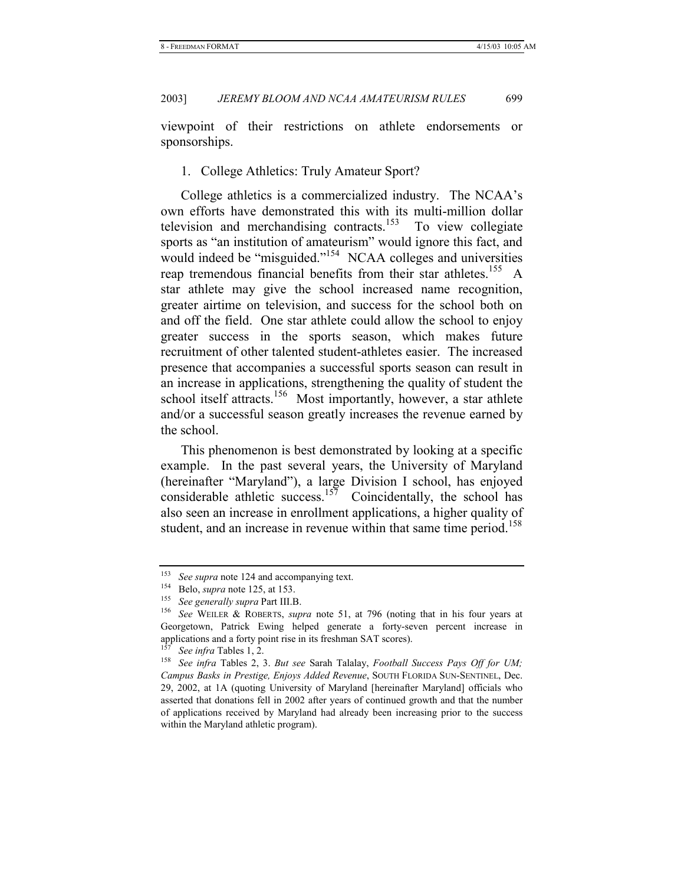viewpoint of their restrictions on athlete endorsements or sponsorships.

1. College Athletics: Truly Amateur Sport?

College athletics is a commercialized industry. The NCAA's own efforts have demonstrated this with its multi-million dollar television and merchandising contracts.<sup>153</sup> To view collegiate sports as "an institution of amateurism" would ignore this fact, and would indeed be "misguided."<sup>154</sup> NCAA colleges and universities reap tremendous financial benefits from their star athletes.<sup>155</sup> A star athlete may give the school increased name recognition, greater airtime on television, and success for the school both on and off the field. One star athlete could allow the school to enjoy greater success in the sports season, which makes future recruitment of other talented student-athletes easier. The increased presence that accompanies a successful sports season can result in an increase in applications, strengthening the quality of student the school itself attracts.<sup>156</sup> Most importantly, however, a star athlete and/or a successful season greatly increases the revenue earned by the school.

This phenomenon is best demonstrated by looking at a specific example. In the past several years, the University of Maryland (hereinafter "Maryland"), a large Division I school, has enjoyed considerable athletic success.<sup>157</sup> Coincidentally, the school has also seen an increase in enrollment applications, a higher quality of student, and an increase in revenue within that same time period.<sup>158</sup>

<sup>&</sup>lt;sup>153</sup> See supra note 124 and accompanying text.<br><sup>154</sup> Belo, *supra* note 125, at 153.<br><sup>155</sup> See generally supra Part III.B.<br><sup>156</sup> See WEILER & ROBERTS, *supra* note 51, at 796 (noting that in his four years at Georgetown, Patrick Ewing helped generate a forty-seven percent increase in applications and a forty point rise in its freshman SAT scores).

<sup>&</sup>lt;sup>157</sup> See *infra* Tables 1, 2.<br><sup>158</sup> See *infra* Tables 2, 3. *But see* Sarah Talalay, *Football Success Pays Off for UM; Campus Basks in Prestige, Enjoys Added Revenue*, SOUTH FLORIDA SUN-SENTINEL, Dec. 29, 2002, at 1A (quoting University of Maryland [hereinafter Maryland] officials who asserted that donations fell in 2002 after years of continued growth and that the number of applications received by Maryland had already been increasing prior to the success within the Maryland athletic program).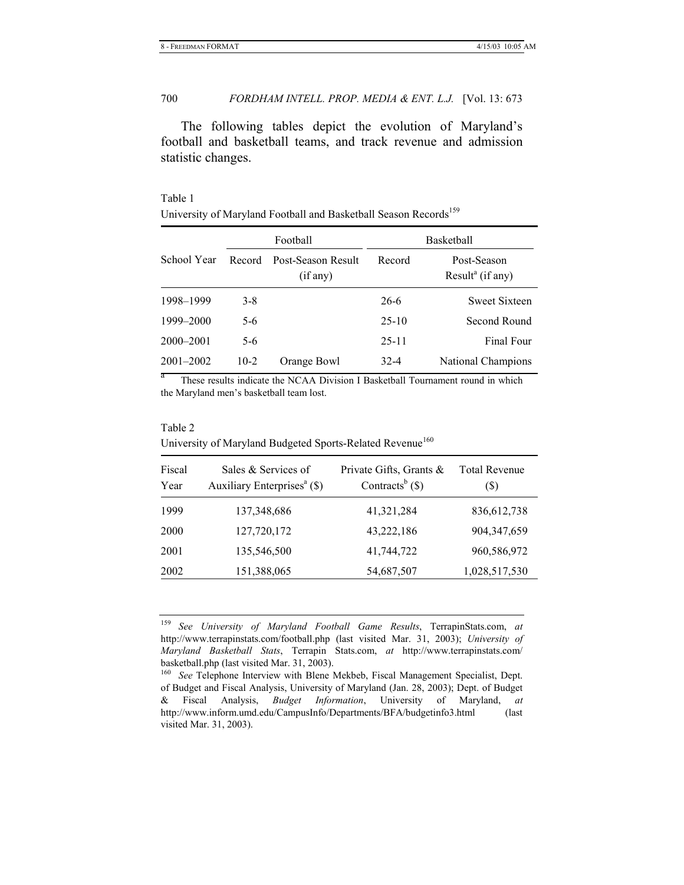The following tables depict the evolution of Maryland's football and basketball teams, and track revenue and admission statistic changes.

# Table 1

| 'Iniversity of Maryland Football and Basketball Season Records <sup>159</sup> |  |  |
|-------------------------------------------------------------------------------|--|--|
|                                                                               |  |  |

|               | Football |                                | Basketball |                                             |  |
|---------------|----------|--------------------------------|------------|---------------------------------------------|--|
| School Year   | Record   | Post-Season Result<br>(if any) | Record     | Post-Season<br>Result <sup>a</sup> (if any) |  |
| 1998-1999     | $3-8$    |                                | $26-6$     | <b>Sweet Sixteen</b>                        |  |
| 1999–2000     | $5-6$    |                                | $25-10$    | Second Round                                |  |
| $2000 - 2001$ | $5-6$    |                                | $25 - 11$  | Final Four                                  |  |
| $2001 - 2002$ | $10-2$   | Orange Bowl                    | $32 - 4$   | <b>National Champions</b>                   |  |

These results indicate the NCAA Division I Basketball Tournament round in which the Maryland men's basketball team lost.

#### Table 2

# University of Maryland Budgeted Sports-Related Revenue<sup>160</sup>

| Sales & Services of<br>Auxiliary Enterprises <sup>a</sup> (\$) | Private Gifts, Grants &<br>Contracts <sup>b</sup> $(\$)$ | <b>Total Revenue</b><br>(\$) |
|----------------------------------------------------------------|----------------------------------------------------------|------------------------------|
| 137,348,686                                                    | 41,321,284                                               | 836, 612, 738                |
| 127,720,172                                                    | 43,222,186                                               | 904, 347, 659                |
| 135,546,500                                                    | 41,744,722                                               | 960,586,972                  |
| 151,388,065                                                    | 54,687,507                                               | 1,028,517,530                |
|                                                                |                                                          |                              |

<sup>159</sup> *See University of Maryland Football Game Results*, TerrapinStats.com, *at*  http://www.terrapinstats.com/football.php (last visited Mar. 31, 2003); *University of Maryland Basketball Stats*, Terrapin Stats.com, *at* http://www.terrapinstats.com/ basketball.php (last visited Mar. 31, 2003).

<sup>&</sup>lt;sup>160</sup> See Telephone Interview with Blene Mekbeb, Fiscal Management Specialist, Dept. of Budget and Fiscal Analysis, University of Maryland (Jan. 28, 2003); Dept. of Budget & Fiscal Analysis, *Budget Information*, University of Maryland, *at*  http://www.inform.umd.edu/CampusInfo/Departments/BFA/budgetinfo3.html (last visited Mar. 31, 2003).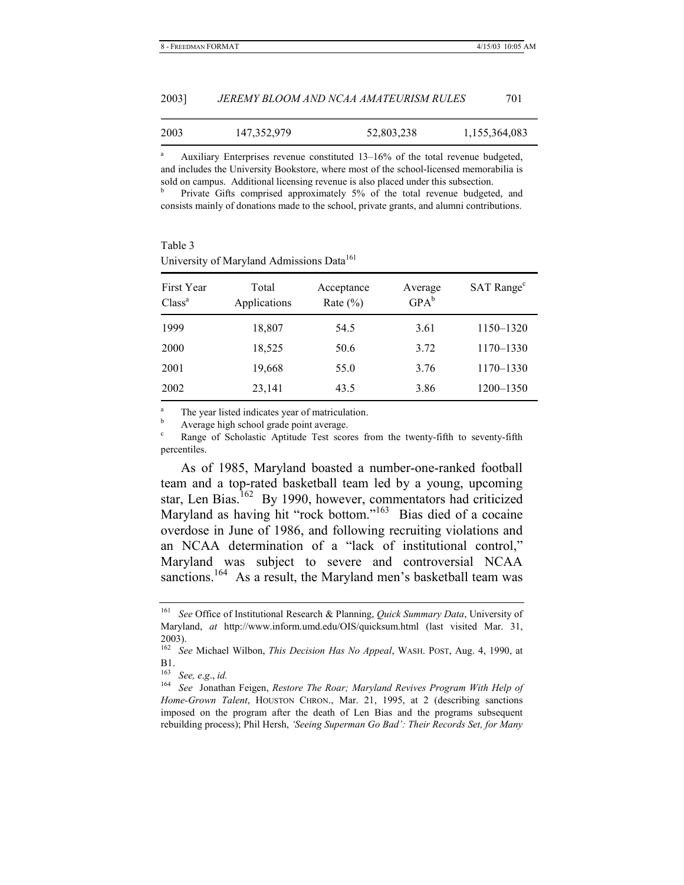| 2003] | JEREMY BLOOM AND NCAA AMATEURISM RULES |  |
|-------|----------------------------------------|--|
|       |                                        |  |

| 2003 | 147, 352, 979 | 52,803,238 | 1,155,364,083 |
|------|---------------|------------|---------------|
|------|---------------|------------|---------------|

<sup>a</sup> Auxiliary Enterprises revenue constituted 13–16% of the total revenue budgeted, and includes the University Bookstore, where most of the school-licensed memorabilia is sold on campus. Additional licensing revenue is also placed under this subsection. b

 Private Gifts comprised approximately 5% of the total revenue budgeted, and consists mainly of donations made to the school, private grants, and alumni contributions.

| Table 3                                               |
|-------------------------------------------------------|
| University of Maryland Admissions Data <sup>161</sup> |

| First Year<br>Class <sup>a</sup> | Total<br>Applications | Acceptance<br>Rate $(\% )$ | Average<br>$GPA^b$ | SAT Range <sup>c</sup> |
|----------------------------------|-----------------------|----------------------------|--------------------|------------------------|
| 1999                             | 18,807                | 54.5                       | 3.61               | 1150-1320              |
| 2000                             | 18,525                | 50.6                       | 3.72               | 1170-1330              |
| 2001                             | 19,668                | 55.0                       | 3.76               | 1170-1330              |
| 2002                             | 23,141                | 43.5                       | 3.86               | 1200-1350              |

 $\frac{a}{b}$  The year listed indicates year of matriculation.

 $\frac{b}{c}$  Average high school grade point average.

Range of Scholastic Aptitude Test scores from the twenty-fifth to seventy-fifth percentiles.

As of 1985, Maryland boasted a number-one-ranked football team and a top-rated basketball team led by a young, upcoming star, Len Bias.<sup>162</sup> By 1990, however, commentators had criticized Maryland as having hit "rock bottom."163 Bias died of a cocaine overdose in June of 1986, and following recruiting violations and an NCAA determination of a "lack of institutional control," Maryland was subject to severe and controversial NCAA sanctions.<sup>164</sup> As a result, the Maryland men's basketball team was

<sup>161</sup> *See* Office of Institutional Research & Planning, *Quick Summary Data*, University of Maryland, *at* http://www.inform.umd.edu/OIS/quicksum.html (last visited Mar. 31, 2003).

<sup>162</sup> *See* Michael Wilbon, *This Decision Has No Appeal*, WASH. POST, Aug. 4, 1990, at B1.

<sup>163</sup> *See, e*.*g*., *id.*

<sup>164</sup> *See* Jonathan Feigen, *Restore The Roar; Maryland Revives Program With Help of Home-Grown Talent*, HOUSTON CHRON., Mar. 21, 1995, at 2 (describing sanctions imposed on the program after the death of Len Bias and the programs subsequent rebuilding process); Phil Hersh, *'Seeing Superman Go Bad': Their Records Set, for Many*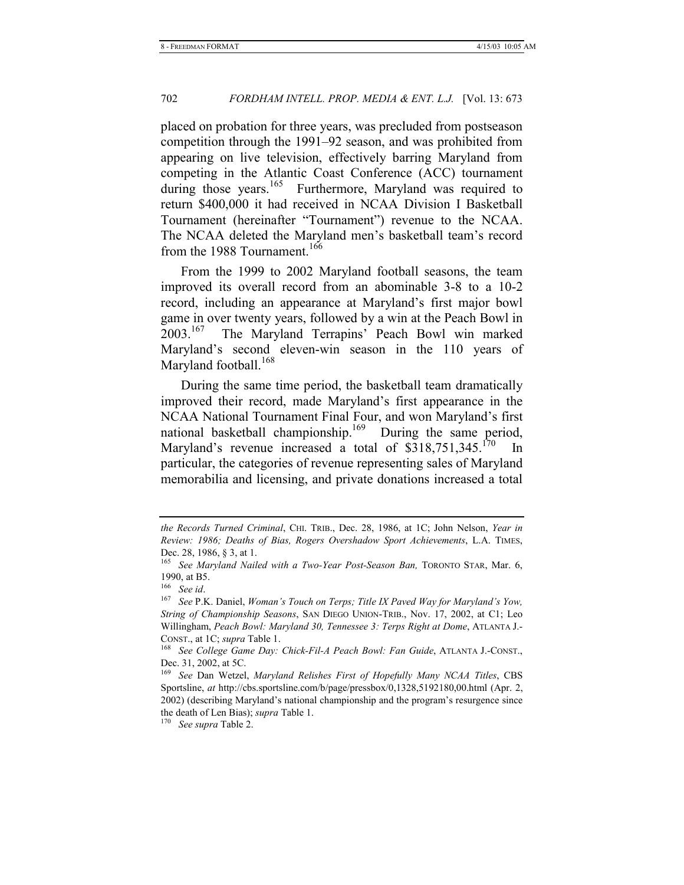placed on probation for three years, was precluded from postseason competition through the 1991–92 season, and was prohibited from appearing on live television, effectively barring Maryland from competing in the Atlantic Coast Conference (ACC) tournament during those years.<sup>165</sup> Furthermore, Maryland was required to return \$400,000 it had received in NCAA Division I Basketball Tournament (hereinafter "Tournament") revenue to the NCAA. The NCAA deleted the Maryland men's basketball team's record from the 1988 Tournament.<sup>166</sup>

From the 1999 to 2002 Maryland football seasons, the team improved its overall record from an abominable 3-8 to a 10-2 record, including an appearance at Maryland's first major bowl game in over twenty years, followed by a win at the Peach Bowl in 2003.167 The Maryland Terrapins' Peach Bowl win marked Maryland's second eleven-win season in the 110 years of Maryland football.<sup>168</sup>

During the same time period, the basketball team dramatically improved their record, made Maryland's first appearance in the NCAA National Tournament Final Four, and won Maryland's first national basketball championship.<sup>169</sup> During the same period, Maryland's revenue increased a total of  $$318,751,345.<sup>170</sup>$  In particular, the categories of revenue representing sales of Maryland memorabilia and licensing, and private donations increased a total

*the Records Turned Criminal*, CHI. TRIB., Dec. 28, 1986, at 1C; John Nelson, *Year in Review: 1986; Deaths of Bias, Rogers Overshadow Sport Achievements*, L.A. TIMES, Dec. 28, 1986, § 3, at 1.

<sup>165</sup> *See Maryland Nailed with a Two-Year Post-Season Ban,* TORONTO STAR, Mar. 6,

<sup>1990,</sup> at B5.<br><sup>166</sup> See id.<br><sup>167</sup> See P.K. Daniel, *Woman's Touch on Terps; Title IX Paved Way for Maryland's Yow, String of Championship Seasons*, SAN DIEGO UNION-TRIB., Nov. 17, 2002, at C1; Leo Willingham, *Peach Bowl: Maryland 30, Tennessee 3: Terps Right at Dome*, ATLANTA J.- CONST., at 1C; *supra* Table 1. 168 *See College Game Day: Chick-Fil-A Peach Bowl: Fan Guide*, ATLANTA J.-CONST.,

Dec. 31, 2002, at 5C.

<sup>169</sup> *See* Dan Wetzel, *Maryland Relishes First of Hopefully Many NCAA Titles*, CBS Sportsline, *at* http://cbs.sportsline.com/b/page/pressbox/0,1328,5192180,00.html (Apr. 2, 2002) (describing Maryland's national championship and the program's resurgence since the death of Len Bias); *supra* Table 1. 170 *See supra* Table 2.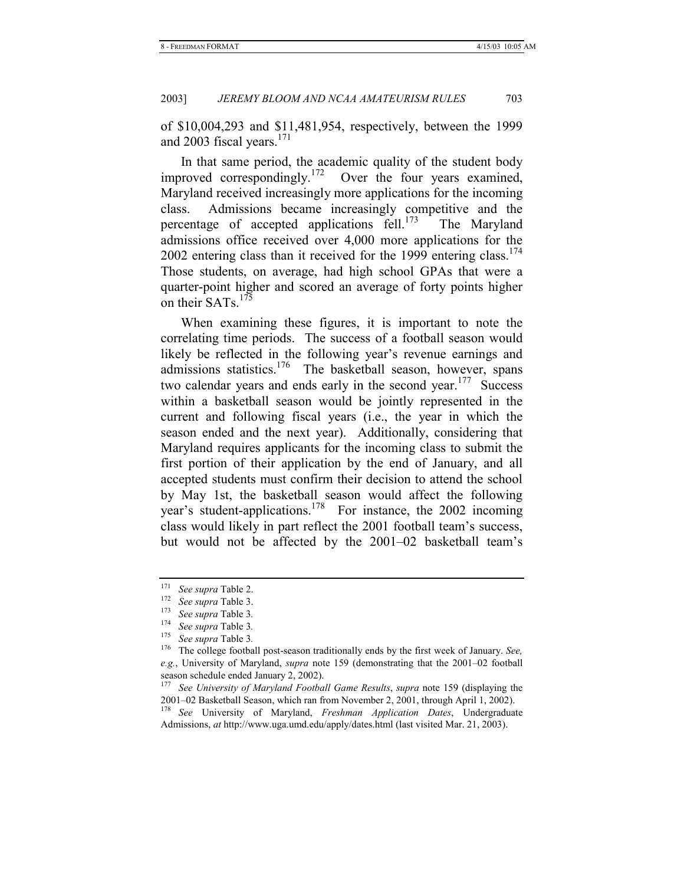of \$10,004,293 and \$11,481,954, respectively, between the 1999 and 2003 fiscal years.<sup>171</sup>

In that same period, the academic quality of the student body improved correspondingly.<sup>172</sup> Over the four years examined, Maryland received increasingly more applications for the incoming class. Admissions became increasingly competitive and the percentage of accepted applications fell.<sup>173</sup> The Maryland admissions office received over 4,000 more applications for the 2002 entering class than it received for the 1999 entering class.<sup>174</sup> Those students, on average, had high school GPAs that were a quarter-point higher and scored an average of forty points higher on their SATs.<sup>175</sup>

When examining these figures, it is important to note the correlating time periods. The success of a football season would likely be reflected in the following year's revenue earnings and admissions statistics.<sup>176</sup> The basketball season, however, spans two calendar years and ends early in the second year.<sup>177</sup> Success within a basketball season would be jointly represented in the current and following fiscal years (i.e., the year in which the season ended and the next year). Additionally, considering that Maryland requires applicants for the incoming class to submit the first portion of their application by the end of January, and all accepted students must confirm their decision to attend the school by May 1st, the basketball season would affect the following year's student-applications.178 For instance, the 2002 incoming class would likely in part reflect the 2001 football team's success, but would not be affected by the 2001–02 basketball team's

<sup>171</sup> *See supra* Table 2. 172 *See supra* Table 3. 173 *See supra* Table 3*.*

<sup>174</sup> *See supra* Table 3*.*

<sup>175</sup> *See supra* Table 3*.*

<sup>176</sup> The college football post-season traditionally ends by the first week of January. *See, e.g.*, University of Maryland, *supra* note 159 (demonstrating that the 2001–02 football season schedule ended January 2, 2002).<br> $177 \text{ So} I$  Ilniversity of Maryland Footba

<sup>177</sup> *See University of Maryland Football Game Results*, *supra* note 159 (displaying the 2001–02 Basketball Season, which ran from November 2, 2001, through April 1, 2002).

<sup>178</sup> *See* University of Maryland, *Freshman Application Dates*, Undergraduate Admissions, *at* http://www.uga.umd.edu/apply/dates.html (last visited Mar. 21, 2003).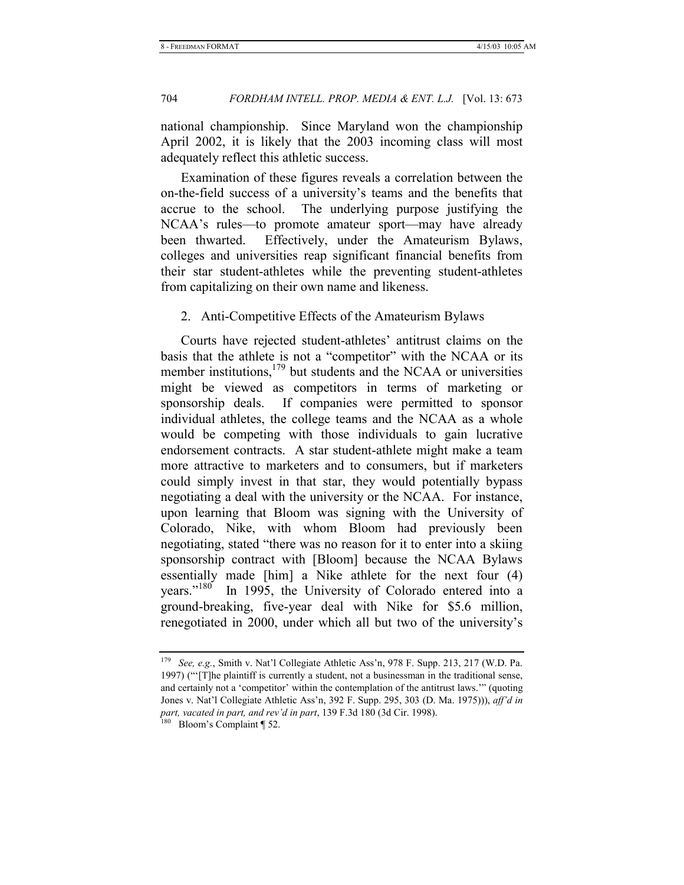national championship. Since Maryland won the championship April 2002, it is likely that the 2003 incoming class will most adequately reflect this athletic success.

Examination of these figures reveals a correlation between the on-the-field success of a university's teams and the benefits that accrue to the school. The underlying purpose justifying the NCAA's rules—to promote amateur sport—may have already been thwarted. Effectively, under the Amateurism Bylaws, colleges and universities reap significant financial benefits from their star student-athletes while the preventing student-athletes from capitalizing on their own name and likeness.

# 2. Anti-Competitive Effects of the Amateurism Bylaws

Courts have rejected student-athletes' antitrust claims on the basis that the athlete is not a "competitor" with the NCAA or its member institutions,<sup>179</sup> but students and the NCAA or universities might be viewed as competitors in terms of marketing or sponsorship deals. If companies were permitted to sponsor individual athletes, the college teams and the NCAA as a whole would be competing with those individuals to gain lucrative endorsement contracts. A star student-athlete might make a team more attractive to marketers and to consumers, but if marketers could simply invest in that star, they would potentially bypass negotiating a deal with the university or the NCAA. For instance, upon learning that Bloom was signing with the University of Colorado, Nike, with whom Bloom had previously been negotiating, stated "there was no reason for it to enter into a skiing sponsorship contract with [Bloom] because the NCAA Bylaws essentially made [him] a Nike athlete for the next four (4) years."<sup>180</sup> In 1995, the University of Colorado entered into a ground-breaking, five-year deal with Nike for \$5.6 million, renegotiated in 2000, under which all but two of the university's

<sup>179</sup> *See, e.g.*, Smith v. Nat'l Collegiate Athletic Ass'n, 978 F. Supp. 213, 217 (W.D. Pa. 1997) ("'[T]he plaintiff is currently a student, not a businessman in the traditional sense, and certainly not a 'competitor' within the contemplation of the antitrust laws.'" (quoting Jones v. Nat'l Collegiate Athletic Ass'n, 392 F. Supp. 295, 303 (D. Ma. 1975))), *aff'd in part, vacated in part, and rev'd in part*, 139 F.3d 180 (3d Cir. 1998).<br><sup>180</sup> Bloom's Complaint ¶ 52.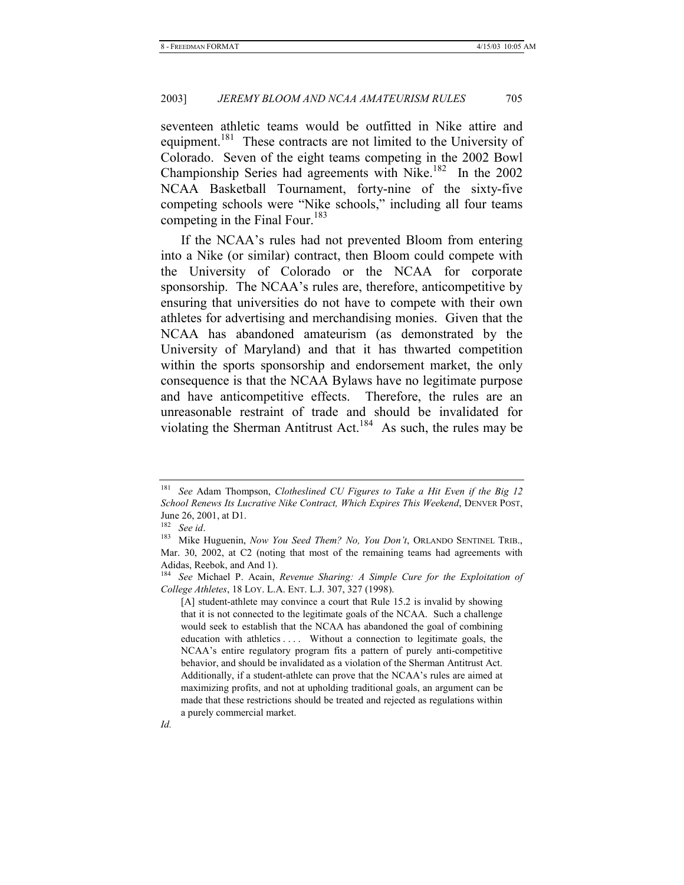seventeen athletic teams would be outfitted in Nike attire and equipment.<sup>181</sup> These contracts are not limited to the University of Colorado. Seven of the eight teams competing in the 2002 Bowl Championship Series had agreements with Nike.182 In the 2002 NCAA Basketball Tournament, forty-nine of the sixty-five competing schools were "Nike schools," including all four teams competing in the Final Four.<sup>183</sup>

If the NCAA's rules had not prevented Bloom from entering into a Nike (or similar) contract, then Bloom could compete with the University of Colorado or the NCAA for corporate sponsorship. The NCAA's rules are, therefore, anticompetitive by ensuring that universities do not have to compete with their own athletes for advertising and merchandising monies. Given that the NCAA has abandoned amateurism (as demonstrated by the University of Maryland) and that it has thwarted competition within the sports sponsorship and endorsement market, the only consequence is that the NCAA Bylaws have no legitimate purpose and have anticompetitive effects. Therefore, the rules are an unreasonable restraint of trade and should be invalidated for violating the Sherman Antitrust Act.<sup>184</sup> As such, the rules may be

<sup>181</sup> *See* Adam Thompson, *Clotheslined CU Figures to Take a Hit Even if the Big 12 School Renews Its Lucrative Nike Contract, Which Expires This Weekend*, DENVER POST, June 26, 2001, at D1.<br><sup>182</sup> *See id.* 

<sup>&</sup>lt;sup>183</sup> Mike Huguenin, *Now You Seed Them? No, You Don't*, ORLANDO SENTINEL TRIB., Mar. 30, 2002, at C2 (noting that most of the remaining teams had agreements with Adidas, Reebok, and And 1).

<sup>184</sup> *See* Michael P. Acain, *Revenue Sharing: A Simple Cure for the Exploitation of College Athletes*, 18 LOY. L.A. ENT. L.J. 307, 327 (1998).

<sup>[</sup>A] student-athlete may convince a court that Rule 15.2 is invalid by showing that it is not connected to the legitimate goals of the NCAA. Such a challenge would seek to establish that the NCAA has abandoned the goal of combining education with athletics . . . . Without a connection to legitimate goals, the NCAA's entire regulatory program fits a pattern of purely anti-competitive behavior, and should be invalidated as a violation of the Sherman Antitrust Act. Additionally, if a student-athlete can prove that the NCAA's rules are aimed at maximizing profits, and not at upholding traditional goals, an argument can be made that these restrictions should be treated and rejected as regulations within a purely commercial market.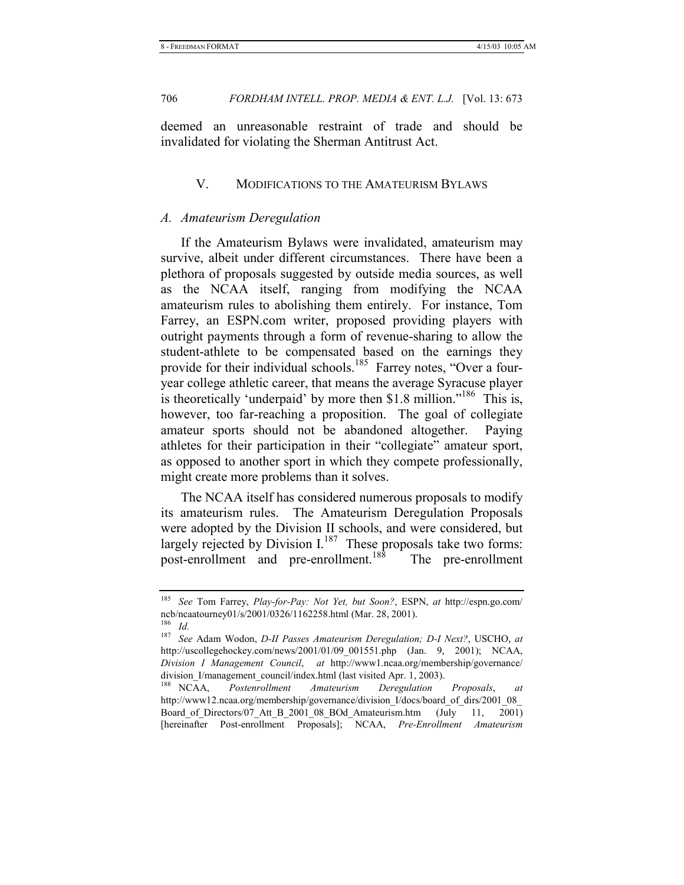deemed an unreasonable restraint of trade and should be invalidated for violating the Sherman Antitrust Act.

# V. MODIFICATIONS TO THE AMATEURISM BYLAWS

# *A. Amateurism Deregulation*

If the Amateurism Bylaws were invalidated, amateurism may survive, albeit under different circumstances. There have been a plethora of proposals suggested by outside media sources, as well as the NCAA itself, ranging from modifying the NCAA amateurism rules to abolishing them entirely. For instance, Tom Farrey, an ESPN.com writer, proposed providing players with outright payments through a form of revenue-sharing to allow the student-athlete to be compensated based on the earnings they provide for their individual schools.<sup>185</sup> Farrey notes, "Over a fouryear college athletic career, that means the average Syracuse player is theoretically 'underpaid' by more then \$1.8 million."<sup>186</sup> This is, however, too far-reaching a proposition. The goal of collegiate amateur sports should not be abandoned altogether. Paying athletes for their participation in their "collegiate" amateur sport, as opposed to another sport in which they compete professionally, might create more problems than it solves.

The NCAA itself has considered numerous proposals to modify its amateurism rules. The Amateurism Deregulation Proposals were adopted by the Division II schools, and were considered, but largely rejected by Division  $I^{187}$  These proposals take two forms: post-enrollment and pre-enrollment.<sup>188</sup> The pre-enrollment

<sup>185</sup> *See* Tom Farrey, *Play-for-Pay: Not Yet, but Soon?*, ESPN, *at* http://espn.go.com/ ncb/ncaatourney01/s/2001/0326/1162258.html (Mar. 28, 2001). <sup>186</sup> *Id.*

<sup>187</sup> *See* Adam Wodon, *D-II Passes Amateurism Deregulation; D-I Next?*, USCHO, *at* http://uscollegehockey.com/news/2001/01/09\_001551.php (Jan. 9, 2001); NCAA, *Division I Management Council*, *at* http://www1.ncaa.org/membership/governance/

division\_I/management\_council/index.html (last visited Apr. 1, 2003).<br><sup>188</sup> NCAA. *Postenrollment Amateurism Deregulation*  $Postenrollment$   $Amateurism$   $Deregulation$   $Proposals$ , at http://www12.ncaa.org/membership/governance/division\_I/docs/board\_of\_dirs/2001\_08 Board of Directors/07 Att B 2001 08 BOd Amateurism.htm (July 11, 2001) [hereinafter Post-enrollment Proposals]; NCAA, *Pre-Enrollment Amateurism*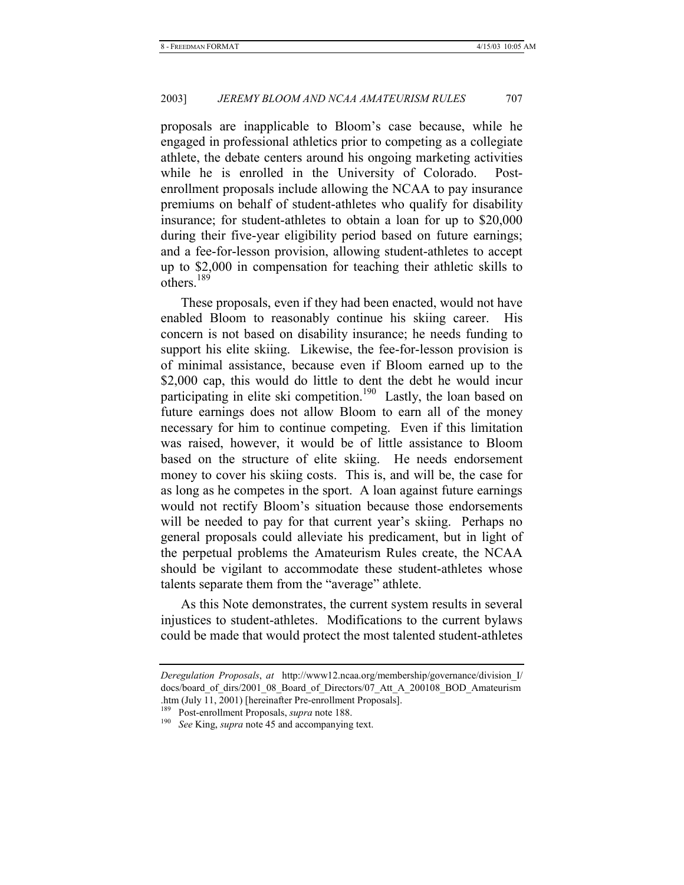proposals are inapplicable to Bloom's case because, while he engaged in professional athletics prior to competing as a collegiate athlete, the debate centers around his ongoing marketing activities while he is enrolled in the University of Colorado. Postenrollment proposals include allowing the NCAA to pay insurance premiums on behalf of student-athletes who qualify for disability insurance; for student-athletes to obtain a loan for up to \$20,000 during their five-year eligibility period based on future earnings; and a fee-for-lesson provision, allowing student-athletes to accept up to \$2,000 in compensation for teaching their athletic skills to others.189

These proposals, even if they had been enacted, would not have enabled Bloom to reasonably continue his skiing career. His concern is not based on disability insurance; he needs funding to support his elite skiing. Likewise, the fee-for-lesson provision is of minimal assistance, because even if Bloom earned up to the \$2,000 cap, this would do little to dent the debt he would incur participating in elite ski competition.<sup>190</sup> Lastly, the loan based on future earnings does not allow Bloom to earn all of the money necessary for him to continue competing. Even if this limitation was raised, however, it would be of little assistance to Bloom based on the structure of elite skiing. He needs endorsement money to cover his skiing costs. This is, and will be, the case for as long as he competes in the sport. A loan against future earnings would not rectify Bloom's situation because those endorsements will be needed to pay for that current year's skiing. Perhaps no general proposals could alleviate his predicament, but in light of the perpetual problems the Amateurism Rules create, the NCAA should be vigilant to accommodate these student-athletes whose talents separate them from the "average" athlete.

As this Note demonstrates, the current system results in several injustices to student-athletes. Modifications to the current bylaws could be made that would protect the most talented student-athletes

*Deregulation Proposals*, *at* http://www12.ncaa.org/membership/governance/division\_I/ docs/board\_of\_dirs/2001\_08\_Board\_of\_Directors/07\_Att\_A\_200108\_BOD\_Amateurism .htm (July 11, 2001) [hereinafter Pre-enrollment Proposals].<br><sup>189</sup> Post-enrollment Proposals, *supra* note 188.

<sup>&</sup>lt;sup>190</sup> See King, *supra* note 45 and accompanying text.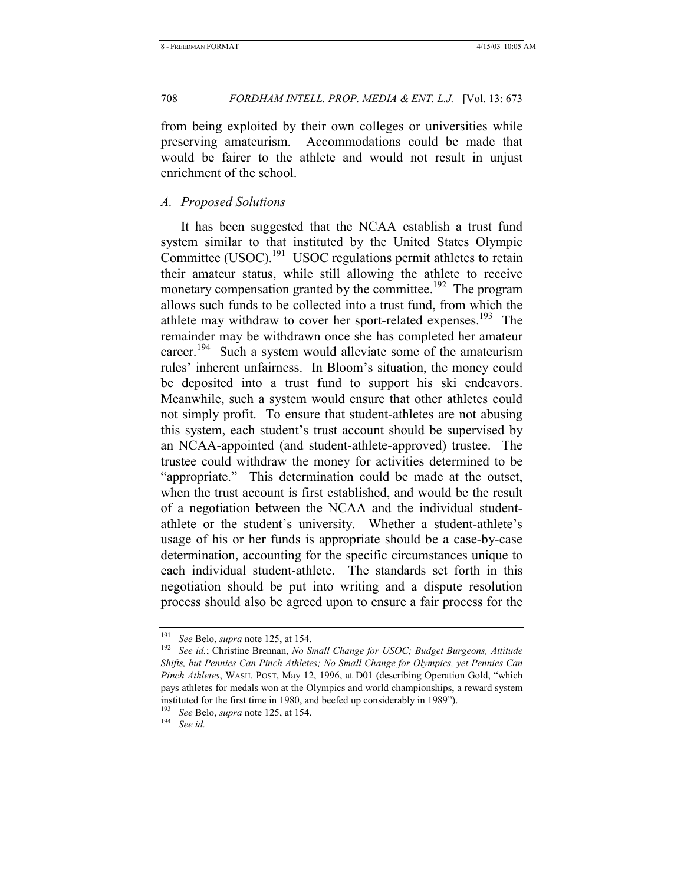from being exploited by their own colleges or universities while preserving amateurism. Accommodations could be made that would be fairer to the athlete and would not result in unjust enrichment of the school.

# *A. Proposed Solutions*

It has been suggested that the NCAA establish a trust fund system similar to that instituted by the United States Olympic Committee (USOC).<sup>191</sup> USOC regulations permit athletes to retain their amateur status, while still allowing the athlete to receive monetary compensation granted by the committee.<sup>192</sup> The program allows such funds to be collected into a trust fund, from which the athlete may withdraw to cover her sport-related expenses.<sup>193</sup> The remainder may be withdrawn once she has completed her amateur career.<sup>194</sup> Such a system would alleviate some of the amateurism rules' inherent unfairness. In Bloom's situation, the money could be deposited into a trust fund to support his ski endeavors. Meanwhile, such a system would ensure that other athletes could not simply profit. To ensure that student-athletes are not abusing this system, each student's trust account should be supervised by an NCAA-appointed (and student-athlete-approved) trustee. The trustee could withdraw the money for activities determined to be "appropriate." This determination could be made at the outset, when the trust account is first established, and would be the result of a negotiation between the NCAA and the individual studentathlete or the student's university. Whether a student-athlete's usage of his or her funds is appropriate should be a case-by-case determination, accounting for the specific circumstances unique to each individual student-athlete. The standards set forth in this negotiation should be put into writing and a dispute resolution process should also be agreed upon to ensure a fair process for the

<sup>191</sup> *See* Belo, *supra* note 125, at 154. 192 *See id.*; Christine Brennan, *No Small Change for USOC; Budget Burgeons, Attitude Shifts, but Pennies Can Pinch Athletes; No Small Change for Olympics, yet Pennies Can Pinch Athletes*, WASH. POST, May 12, 1996, at D01 (describing Operation Gold, "which pays athletes for medals won at the Olympics and world championships, a reward system instituted for the first time in 1980, and beefed up considerably in 1989").

<sup>193</sup> *See* Belo, *supra* note 125, at 154. 194 *See id.*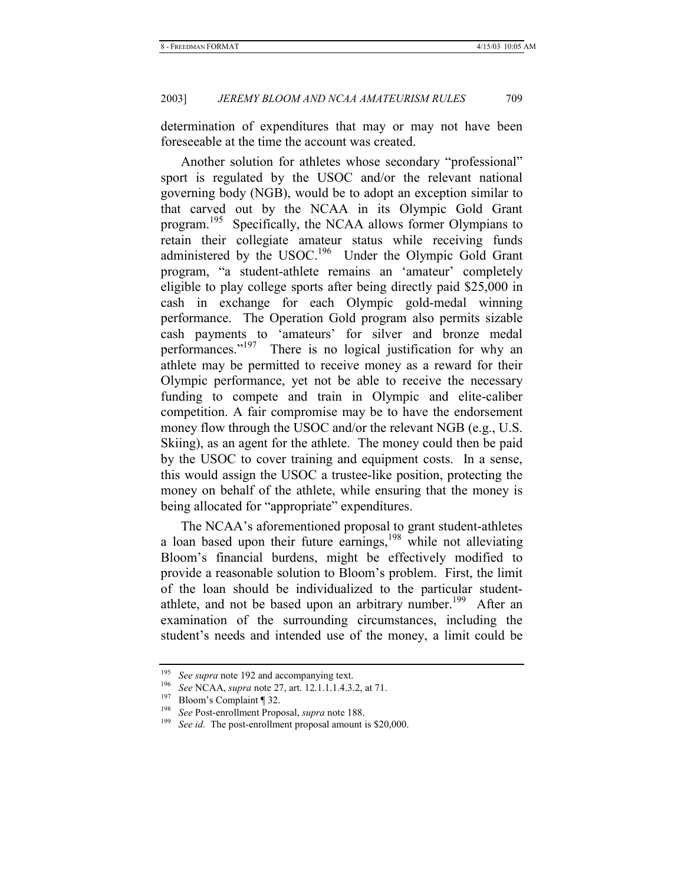determination of expenditures that may or may not have been foreseeable at the time the account was created.

Another solution for athletes whose secondary "professional" sport is regulated by the USOC and/or the relevant national governing body (NGB), would be to adopt an exception similar to that carved out by the NCAA in its Olympic Gold Grant program.195 Specifically, the NCAA allows former Olympians to retain their collegiate amateur status while receiving funds administered by the USOC.<sup>196</sup> Under the Olympic Gold Grant program, "a student-athlete remains an 'amateur' completely eligible to play college sports after being directly paid \$25,000 in cash in exchange for each Olympic gold-medal winning performance. The Operation Gold program also permits sizable cash payments to 'amateurs' for silver and bronze medal performances."<sup>197</sup> There is no logical justification for why an athlete may be permitted to receive money as a reward for their Olympic performance, yet not be able to receive the necessary funding to compete and train in Olympic and elite-caliber competition. A fair compromise may be to have the endorsement money flow through the USOC and/or the relevant NGB (e.g., U.S. Skiing), as an agent for the athlete. The money could then be paid by the USOC to cover training and equipment costs. In a sense, this would assign the USOC a trustee-like position, protecting the money on behalf of the athlete, while ensuring that the money is being allocated for "appropriate" expenditures.

The NCAA's aforementioned proposal to grant student-athletes a loan based upon their future earnings, $198$  while not alleviating Bloom's financial burdens, might be effectively modified to provide a reasonable solution to Bloom's problem. First, the limit of the loan should be individualized to the particular studentathlete, and not be based upon an arbitrary number.<sup>199</sup> After an examination of the surrounding circumstances, including the student's needs and intended use of the money, a limit could be

<sup>&</sup>lt;sup>195</sup> See supra note 192 and accompanying text.<br><sup>196</sup> See NCAA, *supra* note 27, art. 12.1.1.1.4.3.2, at 71.<br><sup>197</sup> Bloom's Complaint ¶ 32.<br><sup>198</sup> See Post-enrollment Proposal, *supra* note 188.<br><sup>199</sup> See id. The post-enrol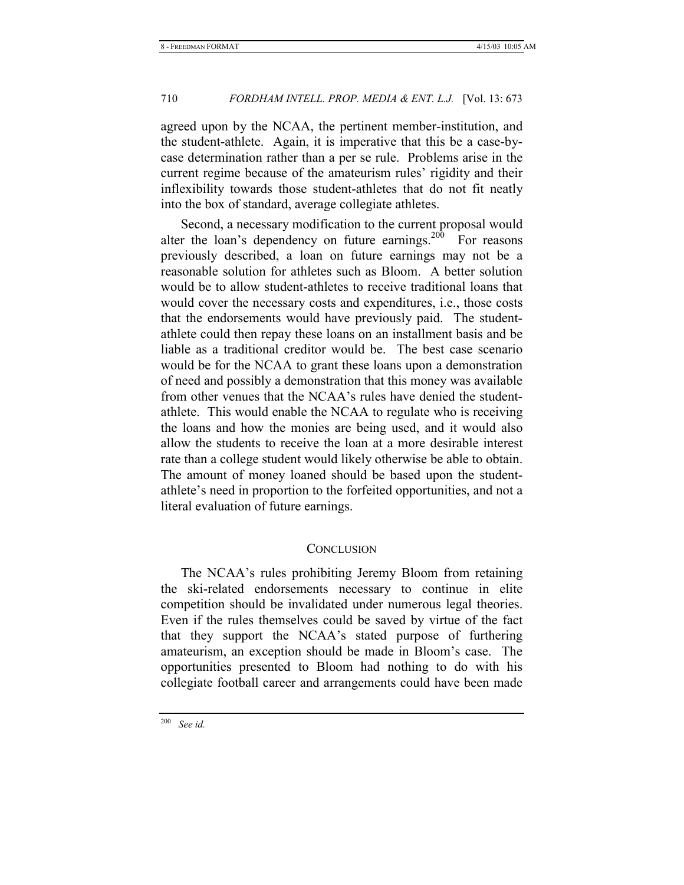agreed upon by the NCAA, the pertinent member-institution, and the student-athlete. Again, it is imperative that this be a case-bycase determination rather than a per se rule. Problems arise in the current regime because of the amateurism rules' rigidity and their inflexibility towards those student-athletes that do not fit neatly into the box of standard, average collegiate athletes.

Second, a necessary modification to the current proposal would alter the loan's dependency on future earnings.<sup>200</sup> For reasons previously described, a loan on future earnings may not be a reasonable solution for athletes such as Bloom. A better solution would be to allow student-athletes to receive traditional loans that would cover the necessary costs and expenditures, i.e., those costs that the endorsements would have previously paid. The studentathlete could then repay these loans on an installment basis and be liable as a traditional creditor would be. The best case scenario would be for the NCAA to grant these loans upon a demonstration of need and possibly a demonstration that this money was available from other venues that the NCAA's rules have denied the studentathlete. This would enable the NCAA to regulate who is receiving the loans and how the monies are being used, and it would also allow the students to receive the loan at a more desirable interest rate than a college student would likely otherwise be able to obtain. The amount of money loaned should be based upon the studentathlete's need in proportion to the forfeited opportunities, and not a literal evaluation of future earnings.

# **CONCLUSION**

The NCAA's rules prohibiting Jeremy Bloom from retaining the ski-related endorsements necessary to continue in elite competition should be invalidated under numerous legal theories. Even if the rules themselves could be saved by virtue of the fact that they support the NCAA's stated purpose of furthering amateurism, an exception should be made in Bloom's case. The opportunities presented to Bloom had nothing to do with his collegiate football career and arrangements could have been made

<sup>200</sup> *See id.*